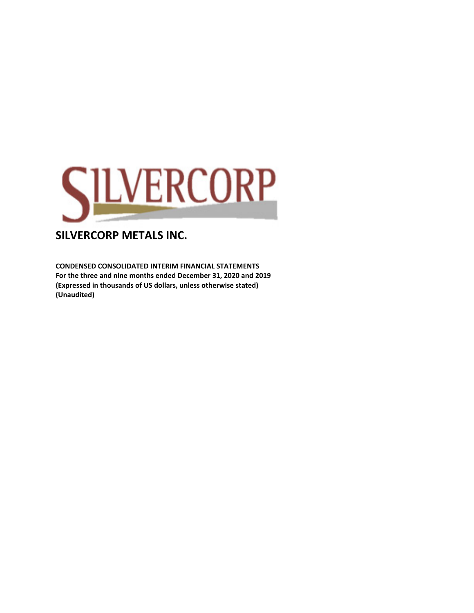

**CONDENSED CONSOLIDATED INTERIM FINANCIAL STATEMENTS For the three and nine months ended December 31, 2020 and 2019 (Expressed in thousands of US dollars, unless otherwise stated) (Unaudited)**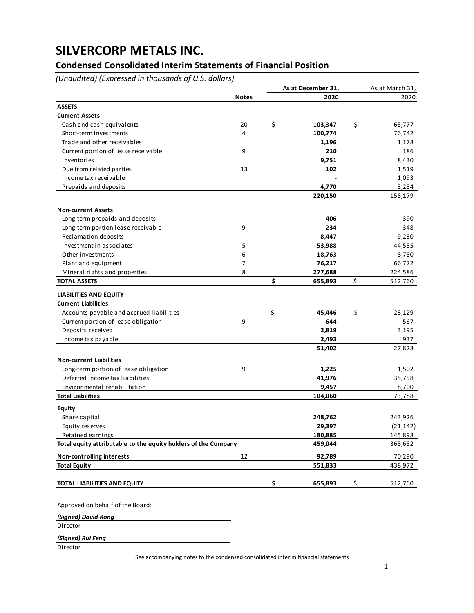### **Condensed Consolidated Interim Statements of Financial Position**

*(Unaudited) (Expressed in thousands of U.S. dollars)*

|                                                                |                | As at December 31, |    | As at March 31, |  |
|----------------------------------------------------------------|----------------|--------------------|----|-----------------|--|
|                                                                | <b>Notes</b>   | 2020               |    | 2020            |  |
| <b>ASSETS</b>                                                  |                |                    |    |                 |  |
| <b>Current Assets</b>                                          |                |                    |    |                 |  |
| Cash and cash equivalents                                      | 20             | \$<br>103,347      | \$ | 65,777          |  |
| Short-term investments                                         | 4              | 100,774            |    | 76,742          |  |
| Trade and other receivables                                    |                | 1,196              |    | 1,178           |  |
| Current portion of lease receivable                            | 9              | 210                |    | 186             |  |
| Inventories                                                    |                | 9,751              |    | 8,430           |  |
| Due from related parties                                       | 13             | 102                |    | 1,519           |  |
| Income tax receivable                                          |                |                    |    | 1,093           |  |
| Prepaids and deposits                                          |                | 4,770              |    | 3,254           |  |
|                                                                |                | 220,150            |    | 158,179         |  |
| <b>Non-current Assets</b>                                      |                |                    |    |                 |  |
| Long-term prepaids and deposits                                |                | 406                |    | 390             |  |
| Long-term portion lease receivable                             | 9              | 234                |    | 348             |  |
| Reclamation deposits                                           |                | 8,447              |    | 9,230           |  |
| Investment in associates                                       | 5              | 53,988             |    | 44,555          |  |
| Other investments                                              | 6              | 18,763             |    | 8,750           |  |
| Plant and equipment                                            | $\overline{7}$ | 76,217             |    | 66,722          |  |
| Mineral rights and properties                                  | 8              | 277,688            |    | 224,586         |  |
| <b>TOTAL ASSETS</b>                                            |                | \$<br>655,893      | \$ | 512,760         |  |
| <b>LIABILITIES AND EQUITY</b>                                  |                |                    |    |                 |  |
| <b>Current Liabilities</b>                                     |                |                    |    |                 |  |
| Accounts payable and accrued liabilities                       |                | \$<br>45,446       | \$ | 23,129          |  |
| Current portion of lease obligation                            | 9              | 644                |    | 567             |  |
| Deposits received                                              |                | 2,819              |    | 3,195           |  |
| Income tax payable                                             |                | 2,493              |    | 937             |  |
|                                                                |                | 51,402             |    | 27,828          |  |
| <b>Non-current Liabilities</b>                                 |                |                    |    |                 |  |
| Long-term portion of lease obligation                          | 9              | 1,225              |    | 1,502           |  |
| Deferred income tax liabilities                                |                | 41,976             |    | 35,758          |  |
| Environmental rehabilitation                                   |                | 9,457              |    | 8,700           |  |
| <b>Total Liabilities</b>                                       |                | 104,060            |    | 73,788          |  |
| <b>Equity</b>                                                  |                |                    |    |                 |  |
| Share capital                                                  |                | 248,762            |    | 243,926         |  |
| Equity reserves                                                |                | 29,397             |    | (21, 142)       |  |
| Retained earnings                                              |                | 180,885            |    | 145,898         |  |
| Total equity attributable to the equity holders of the Company |                | 459,044            |    | 368,682         |  |
| <b>Non-controlling interests</b>                               | 12             | 92,789             |    | 70,290          |  |
| <b>Total Equity</b>                                            |                | 551,833            |    | 438,972         |  |
| TOTAL LIABILITIES AND EQUITY                                   |                | \$<br>655,893      | \$ | 512,760         |  |
|                                                                |                |                    |    |                 |  |

Approved on behalf of the Board:

*(Signed) David Kong*

Director

*(Signed) Rui Feng*

**Director** 

See accompanying notes to the condensed consolidated interim financial statements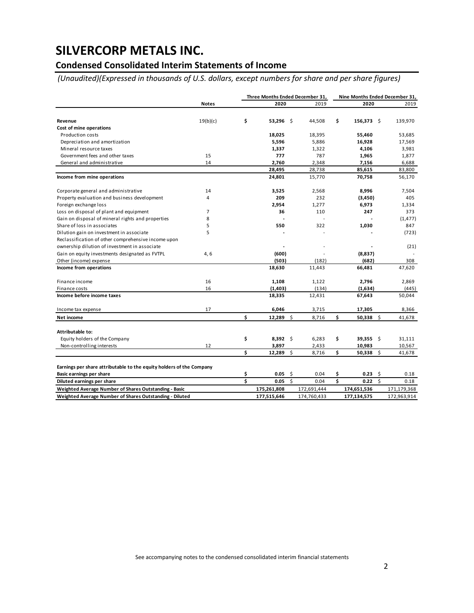### **Condensed Consolidated Interim Statements of Income**

*(Unaudited)(Expressed in thousands of U.S. dollars, except numbers for share and per share figures)*

|                                                                      |                | Three Months Ended December 31, |    | Nine Months Ended December 31, |    |              |                    |             |
|----------------------------------------------------------------------|----------------|---------------------------------|----|--------------------------------|----|--------------|--------------------|-------------|
|                                                                      | <b>Notes</b>   | 2020                            |    | 2019                           |    | 2020         | 2019               |             |
|                                                                      |                |                                 |    |                                |    |              |                    |             |
| Revenue                                                              | 19(b)(c)       | \$<br>$53,296$ \$               |    | 44,508                         | \$ | $156,373$ \$ |                    | 139,970     |
| Cost of mine operations                                              |                |                                 |    |                                |    |              |                    |             |
| Production costs                                                     |                | 18,025                          |    | 18,395                         |    | 55,460       |                    | 53,685      |
| Depreciation and amortization                                        |                | 5,596                           |    | 5,886                          |    | 16,928       |                    | 17,569      |
| Mineral resource taxes                                               |                | 1,337                           |    | 1,322                          |    | 4,106        |                    | 3,981       |
| Government fees and other taxes                                      | 15             | 777                             |    | 787                            |    | 1,965        |                    | 1,877       |
| General and administrative                                           | 14             | 2,760                           |    | 2,348                          |    | 7,156        |                    | 6,688       |
|                                                                      |                | 28,495                          |    | 28,738                         |    | 85,615       |                    | 83,800      |
| Income from mine operations                                          |                | 24,801                          |    | 15,770                         |    | 70,758       |                    | 56,170      |
| Corporate general and administrative                                 | 14             | 3,525                           |    | 2,568                          |    | 8,996        |                    | 7,504       |
| Property evaluation and business development                         | 4              | 209                             |    | 232                            |    | (3, 450)     |                    | 405         |
| Foreign exchange loss                                                |                | 2,954                           |    | 1,277                          |    | 6,973        |                    | 1,334       |
| Loss on disposal of plant and equipment                              | $\overline{7}$ | 36                              |    | 110                            |    | 247          |                    | 373         |
| Gain on disposal of mineral rights and properties                    | 8              |                                 |    |                                |    |              |                    | (1, 477)    |
| Share of loss in associates                                          | 5              | 550                             |    | 322                            |    | 1,030        |                    | 847         |
| Dilution gain on investment in associate                             | 5              |                                 |    |                                |    |              |                    | (723)       |
| Reclassification of other comprehensive income upon                  |                |                                 |    |                                |    |              |                    |             |
| ownership dilution of investment in associate                        |                |                                 |    |                                |    |              |                    | (21)        |
| Gain on equity investments designated as FVTPL                       | 4,6            | (600)                           |    |                                |    | (8,837)      |                    |             |
| Other (income) expense                                               |                | (503)                           |    | (182)                          |    | (682)        |                    | 308         |
| Income from operations                                               |                | 18,630                          |    | 11,443                         |    | 66,481       |                    | 47,620      |
| Finance income                                                       | 16             | 1,108                           |    | 1,122                          |    | 2,796        |                    | 2,869       |
| Finance costs                                                        | 16             | (1,403)                         |    | (134)                          |    | (1,634)      |                    | (445)       |
| Income before income taxes                                           |                | 18,335                          |    | 12,431                         |    | 67,643       |                    | 50,044      |
| Income tax expense                                                   | 17             | 6,046                           |    | 3,715                          |    | 17,305       |                    | 8,366       |
| Net income                                                           |                | \$<br>$12,289$ \$               |    | 8,716                          | \$ | $50,338$ \$  |                    | 41,678      |
| Attributable to:                                                     |                |                                 |    |                                |    |              |                    |             |
| Equity holders of the Company                                        |                | \$<br>$8,392 \quad $$           |    | 6,283                          | \$ | $39,355$ \$  |                    | 31,111      |
| Non-controlling interests                                            | 12             | 3,897                           |    | 2,433                          |    | 10,983       |                    | 10,567      |
|                                                                      |                | \$<br>12,289                    | \$ | 8,716                          | \$ | $50,338$ \$  |                    | 41,678      |
|                                                                      |                |                                 |    |                                |    |              |                    |             |
| Earnings per share attributable to the equity holders of the Company |                |                                 |    |                                |    |              |                    |             |
| Basic earnings per share                                             |                | \$<br>0.05                      | \$ | 0.04                           | \$ | 0.23         | -\$                | 0.18        |
| Diluted earnings per share                                           |                | \$<br>0.05                      | \$ | 0.04                           | Ś  | 0.22         | $\mathsf{\hat{S}}$ | 0.18        |
| Weighted Average Number of Shares Outstanding - Basic                |                | 175,261,808                     |    | 172,691,444                    |    | 174,651,536  |                    | 171,179,368 |
| Weighted Average Number of Shares Outstanding - Diluted              |                | 177,515,646                     |    | 174,760,433                    |    | 177,134,575  |                    | 172,963,914 |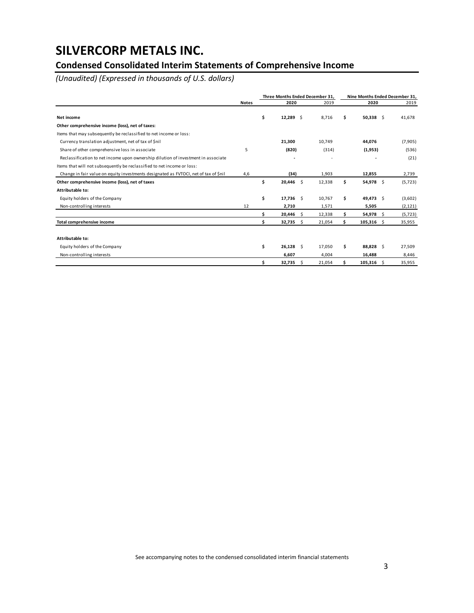### **Condensed Consolidated Interim Statements of Comprehensive Income**

*(Unaudited) (Expressed in thousands of U.S. dollars)*

|                                                                                      |              |      | Three Months Ended December 31. |     |        | Nine Months Ended December 31, |              |          |  |  |
|--------------------------------------------------------------------------------------|--------------|------|---------------------------------|-----|--------|--------------------------------|--------------|----------|--|--|
|                                                                                      | <b>Notes</b> | 2020 |                                 |     | 2019   |                                | 2020         | 2019     |  |  |
| Net income                                                                           |              | \$   | $12,289$ \$                     |     | 8,716  | \$                             | $50,338$ \$  | 41,678   |  |  |
| Other comprehensive income (loss), net of taxes:                                     |              |      |                                 |     |        |                                |              |          |  |  |
| Items that may subsequently be reclassified to net income or loss:                   |              |      |                                 |     |        |                                |              |          |  |  |
| Currency translation adjustment, net of tax of \$nil                                 |              |      | 21,300                          |     | 10.749 |                                | 44.076       | (7,905)  |  |  |
| Share of other comprehensive loss in associate                                       | 5            |      | (820)                           |     | (314)  |                                | (1,953)      | (536)    |  |  |
| Reclassification to net income upon ownership dilution of investment in associate    |              |      |                                 |     |        |                                |              | (21)     |  |  |
| Items that will not subsequently be reclassified to net income or loss:              |              |      |                                 |     |        |                                |              |          |  |  |
| Change in fair value on equity investments designated as FVTOCI, net of tax of \$nil | 4,6          |      | (34)                            |     | 1,903  |                                | 12,855       | 2,739    |  |  |
| Other comprehensive income (loss), net of taxes                                      |              | \$   | 20,446 \$                       |     | 12,338 | \$                             | 54,978 \$    | (5, 723) |  |  |
| Attributable to:                                                                     |              |      |                                 |     |        |                                |              |          |  |  |
| Equity holders of the Company                                                        |              | \$   | $17,736$ \$                     |     | 10,767 | \$                             | 49,473 \$    | (3,602)  |  |  |
| Non-controlling interests                                                            | 12           |      | 2,710                           |     | 1,571  |                                | 5,505        | (2, 121) |  |  |
|                                                                                      |              | Ś    | 20,446                          | Ŝ.  | 12,338 | Ś                              | 54,978 \$    | (5, 723) |  |  |
| Total comprehensive income                                                           |              | Ś    | 32,735                          | .s  | 21,054 | Ś                              | $105,316$ \$ | 35,955   |  |  |
|                                                                                      |              |      |                                 |     |        |                                |              |          |  |  |
| Attributable to:                                                                     |              |      |                                 |     |        |                                |              |          |  |  |
| Equity holders of the Company                                                        |              | \$.  | $26,128$ \$                     |     | 17,050 | \$                             | 88,828 \$    | 27,509   |  |  |
| Non-controlling interests                                                            |              |      | 6,607                           |     | 4,004  |                                | 16,488       | 8,446    |  |  |
|                                                                                      |              | \$.  | 32,735                          | -\$ | 21,054 | \$                             | 105,316<br>Ŝ | 35,955   |  |  |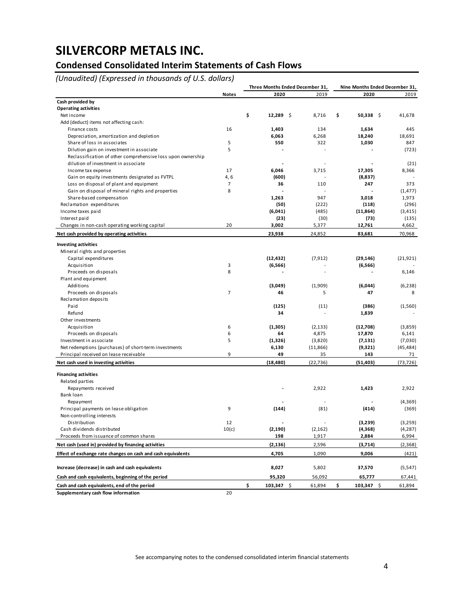### **Condensed Consolidated Interim Statements of Cash Flows**

*(Unaudited) (Expressed in thousands of U.S. dollars)*

|                                                                                              |                | Three Months Ended December 31, |              |           | Nine Months Ended December 31, |                   |  |
|----------------------------------------------------------------------------------------------|----------------|---------------------------------|--------------|-----------|--------------------------------|-------------------|--|
|                                                                                              | <b>Notes</b>   |                                 | 2020         | 2019      | 2020                           | 2019              |  |
| Cash provided by                                                                             |                |                                 |              |           |                                |                   |  |
| <b>Operating activities</b>                                                                  |                |                                 |              |           |                                |                   |  |
| Net income                                                                                   |                | \$                              | $12,289$ \$  | 8,716     | \$<br>$50,338$ \$              | 41,678            |  |
| Add (deduct) items not affecting cash:                                                       |                |                                 |              |           |                                |                   |  |
| Finance costs                                                                                | 16             |                                 | 1,403        | 134       | 1,634                          | 445               |  |
| Depreciation, amortization and depletion                                                     |                |                                 | 6,063        | 6,268     | 18,240                         | 18,691            |  |
| Share of loss in associates                                                                  | 5              |                                 | 550          | 322       | 1,030                          | 847               |  |
| Dilution gain on investment in associate                                                     | 5              |                                 |              |           |                                | (723)             |  |
| Reclassification of other comprehensive loss upon ownership                                  |                |                                 |              |           |                                |                   |  |
| dilution of investment in associate                                                          | 17             |                                 |              |           |                                | (21)              |  |
| Income tax expense                                                                           | 4,6            |                                 | 6,046        | 3,715     | 17,305                         | 8,366             |  |
| Gain on equity investments designated as FVTPL                                               | $\overline{7}$ |                                 | (600)<br>36  | 110       | (8,837)<br>247                 | 373               |  |
| Loss on disposal of plant and equipment<br>Gain on disposal of mineral rights and properties | 8              |                                 |              |           |                                |                   |  |
| Share-based compensation                                                                     |                |                                 | 1,263        | 947       | 3,018                          | (1, 477)<br>1,973 |  |
| Reclamation expenditures                                                                     |                |                                 | (50)         | (222)     | (118)                          | (296)             |  |
| Income taxes paid                                                                            |                |                                 | (6,041)      | (485)     | (11, 864)                      | (3, 415)          |  |
| Interest paid                                                                                |                |                                 | (23)         | (30)      | (73)                           | (135)             |  |
| Changes in non-cash operating working capital                                                | 20             |                                 | 3,002        | 5,377     | 12,761                         | 4,662             |  |
|                                                                                              |                |                                 | 23,938       |           |                                |                   |  |
| Net cash provided by operating activities                                                    |                |                                 |              | 24,852    | 83,681                         | 70,968            |  |
| <b>Investing activities</b>                                                                  |                |                                 |              |           |                                |                   |  |
| Mineral rights and properties                                                                |                |                                 |              |           |                                |                   |  |
| Capital expenditures                                                                         |                |                                 | (12, 432)    | (7, 912)  | (29, 146)                      | (21, 921)         |  |
| Acquisition                                                                                  | 3              |                                 | (6, 566)     |           | (6, 566)                       |                   |  |
| Proceeds on disposals                                                                        | 8              |                                 |              |           |                                | 6,146             |  |
| Plant and equipment                                                                          |                |                                 |              |           |                                |                   |  |
| Additions                                                                                    |                |                                 | (3,049)      | (1,909)   | (6,044)                        | (6, 238)          |  |
| Proceeds on disposals                                                                        | $\overline{7}$ |                                 | 46           | 5         | 47                             | 8                 |  |
| Reclamation deposits                                                                         |                |                                 |              |           |                                |                   |  |
| Paid                                                                                         |                |                                 | (125)        | (11)      | (386)                          | (1,560)           |  |
| Refund                                                                                       |                |                                 | 34           | ÷,        | 1,839                          |                   |  |
| Other investments                                                                            |                |                                 |              |           |                                |                   |  |
| Acquisition                                                                                  | 6              |                                 | (1,305)      | (2, 133)  | (12,708)                       | (3,859)           |  |
| Proceeds on disposals                                                                        | 6              |                                 | 64           | 4,875     | 17,870                         | 6,141             |  |
| Investment in associate                                                                      | 5              |                                 | (1,326)      | (3,820)   | (7, 131)                       | (7,030)           |  |
| Net redemptions (purchases) of short-term investments                                        |                |                                 | 6,130        | (11, 866) | (9,321)                        | (45, 484)         |  |
| Principal received on lease receivable                                                       | 9              |                                 | 49           | 35        | 143                            | 71                |  |
| Net cash used in investing activities                                                        |                |                                 | (18, 480)    | (22, 736) | (51, 403)                      | (73, 726)         |  |
| <b>Financing activities</b>                                                                  |                |                                 |              |           |                                |                   |  |
| Related parties                                                                              |                |                                 |              |           |                                |                   |  |
| Repayments received                                                                          |                |                                 |              | 2,922     | 1,423                          | 2,922             |  |
| Bank loan                                                                                    |                |                                 |              |           |                                |                   |  |
| Repayment                                                                                    |                |                                 |              |           |                                | (4, 369)          |  |
| Principal payments on lease obligation                                                       | 9              |                                 | (144)        | (81)      | (414)                          | (369)             |  |
| Non-controlling interests                                                                    |                |                                 |              |           |                                |                   |  |
| Distribution                                                                                 | 12             |                                 |              |           | (3,239)                        | (3,259)           |  |
| Cash dividends distributed                                                                   | 10(c)          |                                 | (2,190)      | (2, 162)  | (4, 368)                       | (4, 287)          |  |
| Proceeds from issuance of common shares                                                      |                |                                 | 198          | 1,917     | 2,884                          | 6,994             |  |
| Net cash (used in) provided by financing activities                                          |                |                                 | (2,136)      | 2,596     | (3,714)                        | (2,368)           |  |
| Effect of exchange rate changes on cash and cash equivalents                                 |                |                                 | 4,705        | 1,090     | 9,006                          | (421)             |  |
| Increase (decrease) in cash and cash equivalents                                             |                |                                 | 8,027        | 5,802     | 37,570                         | (5, 547)          |  |
| Cash and cash equivalents, beginning of the period                                           |                |                                 | 95,320       | 56,092    | 65,777                         | 67,441            |  |
| Cash and cash equivalents, end of the period                                                 |                | \$                              | $103,347$ \$ | 61,894    | \$<br>103,347 \$               | 61,894            |  |
| Supplementary cash flow information                                                          | 20             |                                 |              |           |                                |                   |  |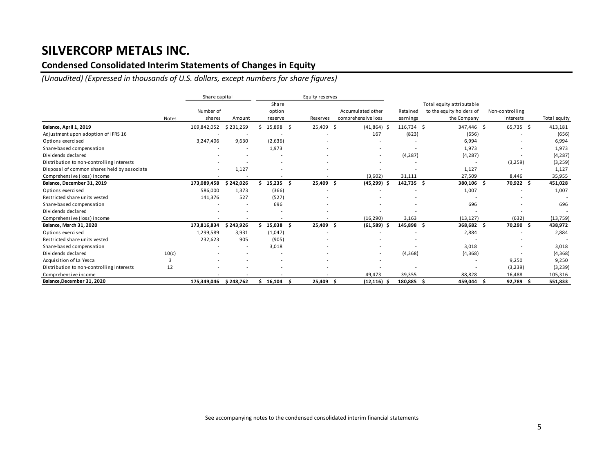### **Condensed Consolidated Interim Statements of Changes in Equity**

*(Unaudited) (Expressed in thousands of U.S. dollars, except numbers for share figures)*

|                                             |              | Share capital |           |                          |     | Equity reserves          |                      |            |                           |                 |              |
|---------------------------------------------|--------------|---------------|-----------|--------------------------|-----|--------------------------|----------------------|------------|---------------------------|-----------------|--------------|
|                                             |              |               |           | Share                    |     |                          |                      |            | Total equity attributable |                 |              |
|                                             |              | Number of     |           | option                   |     |                          | Accumulated other    | Retained   | to the equity holders of  | Non-controlling |              |
|                                             | <b>Notes</b> | shares        | Amount    | reserve                  |     | Reserves                 | comprehensive loss   | earnings   | the Company               | interests       | Total equity |
| Balance, April 1, 2019                      |              | 169,842,052   | \$231,269 | \$15,898                 | Ŝ.  | 25,409                   | $(41,864)$ \$<br>- Ś | 116.734 \$ | 347,446 \$                | 65,735 \$       | 413,181      |
| Adjustment upon adoption of IFRS 16         |              |               |           |                          |     |                          | 167                  | (823)      | (656)                     |                 | (656)        |
| Options exercised                           |              | 3,247,406     | 9,630     | (2,636)                  |     |                          |                      |            | 6,994                     |                 | 6,994        |
| Share-based compensation                    |              |               |           | 1,973                    |     |                          |                      |            | 1,973                     |                 | 1,973        |
| Dividends declared                          |              |               |           |                          |     |                          |                      | (4, 287)   | (4, 287)                  |                 | (4, 287)     |
| Distribution to non-controlling interests   |              |               |           |                          |     |                          |                      |            |                           | (3,259)         | (3,259)      |
| Disposal of common shares held by associate |              |               | 1,127     |                          |     |                          |                      |            | 1,127                     |                 | 1,127        |
| Comprehensive (loss) income                 |              |               |           | $\overline{\phantom{a}}$ |     | $\overline{\phantom{a}}$ | (3,602)              | 31,111     | 27,509                    | 8,446           | 35,955       |
| Balance, December 31, 2019                  |              | 173,089,458   | \$242,026 | 15,235                   | .S  | 25,409                   | $(45,299)$ \$        | 142,735 \$ | 380,106 \$                | 70,922 \$       | 451,028      |
| Options exercised                           |              | 586,000       | 1,373     | (366)                    |     |                          |                      |            | 1,007                     |                 | 1,007        |
| Restricted share units vested               |              | 141,376       | 527       | (527)                    |     |                          |                      |            |                           |                 |              |
| Share-based compensation                    |              |               |           | 696                      |     |                          |                      |            | 696                       |                 | 696          |
| Dividends declared                          |              |               |           |                          |     |                          |                      |            |                           |                 |              |
| Comprehensive (loss) income                 |              |               |           |                          |     |                          | (16, 290)            | 3,163      | (13, 127)                 | (632)           | (13, 759)    |
| Balance, March 31, 2020                     |              | 173,816,834   | \$243,926 | 15.038                   | .\$ | 25,409                   | $(61,589)$ \$<br>- Ś | 145,898 \$ | 368,682 \$                | 70,290 \$       | 438,972      |
| Options exercised                           |              | 1,299,589     | 3,931     | (1,047)                  |     |                          |                      |            | 2,884                     |                 | 2,884        |
| Restricted share units vested               |              | 232,623       | 905       | (905)                    |     |                          |                      |            |                           |                 |              |
| Share-based compensation                    |              |               |           | 3,018                    |     |                          |                      |            | 3,018                     |                 | 3,018        |
| Dividends declared                          | 10(c)        |               |           |                          |     |                          |                      | (4,368)    | (4,368)                   |                 | (4,368)      |
| Acquisition of La Yesca                     | 3            |               |           |                          |     |                          |                      |            |                           | 9,250           | 9,250        |
| Distribution to non-controlling interests   | 12           |               |           |                          |     |                          |                      |            |                           | (3,239)         | (3, 239)     |
| Comprehensive income                        |              |               |           | $\overline{\phantom{a}}$ |     |                          | 49,473               | 39,355     | 88,828                    | 16,488          | 105,316      |
| Balance, December 31, 2020                  |              | 175,349,046   | \$248,762 | \$16,104                 |     | 25,409                   | $(12, 116)$ \$       | 180,885 \$ | 459,044                   | 92,789<br>- S   | 551,833      |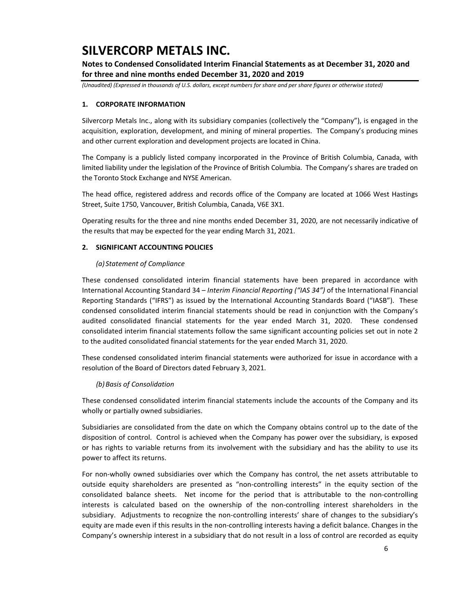**Notes to Condensed Consolidated Interim Financial Statements as at December 31, 2020 and for three and nine months ended December 31, 2020 and 2019**

*(Unaudited) (Expressed in thousands of U.S. dollars, except numbers for share and per share figures or otherwise stated)*

#### **1. CORPORATE INFORMATION**

Silvercorp Metals Inc., along with its subsidiary companies (collectively the "Company"), is engaged in the acquisition, exploration, development, and mining of mineral properties. The Company's producing mines and other current exploration and development projects are located in China.

The Company is a publicly listed company incorporated in the Province of British Columbia, Canada, with limited liability under the legislation of the Province of British Columbia. The Company's shares are traded on the Toronto Stock Exchange and NYSE American.

The head office, registered address and records office of the Company are located at 1066 West Hastings Street, Suite 1750, Vancouver, British Columbia, Canada, V6E 3X1.

Operating results for the three and nine months ended December 31, 2020, are not necessarily indicative of the results that may be expected for the year ending March 31, 2021.

#### **2. SIGNIFICANT ACCOUNTING POLICIES**

#### *(a) Statement of Compliance*

These condensed consolidated interim financial statements have been prepared in accordance with International Accounting Standard 34 – *Interim Financial Reporting ("IAS 34")* of the International Financial Reporting Standards ("IFRS") as issued by the International Accounting Standards Board ("IASB"). These condensed consolidated interim financial statements should be read in conjunction with the Company's audited consolidated financial statements for the year ended March 31, 2020. These condensed consolidated interim financial statements follow the same significant accounting policies set out in note 2 to the audited consolidated financial statements for the year ended March 31, 2020.

These condensed consolidated interim financial statements were authorized for issue in accordance with a resolution of the Board of Directors dated February 3, 2021.

#### *(b)Basis of Consolidation*

These condensed consolidated interim financial statements include the accounts of the Company and its wholly or partially owned subsidiaries.

Subsidiaries are consolidated from the date on which the Company obtains control up to the date of the disposition of control. Control is achieved when the Company has power over the subsidiary, is exposed or has rights to variable returns from its involvement with the subsidiary and has the ability to use its power to affect its returns.

For non-wholly owned subsidiaries over which the Company has control, the net assets attributable to outside equity shareholders are presented as "non-controlling interests" in the equity section of the consolidated balance sheets. Net income for the period that is attributable to the non-controlling interests is calculated based on the ownership of the non-controlling interest shareholders in the subsidiary. Adjustments to recognize the non-controlling interests' share of changes to the subsidiary's equity are made even if this results in the non-controlling interests having a deficit balance. Changes in the Company's ownership interest in a subsidiary that do not result in a loss of control are recorded as equity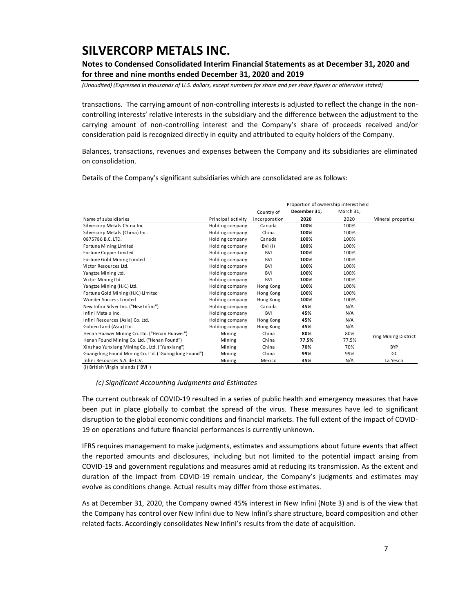**Notes to Condensed Consolidated Interim Financial Statements as at December 31, 2020 and for three and nine months ended December 31, 2020 and 2019**

*(Unaudited) (Expressed in thousands of U.S. dollars, except numbers for share and per share figures or otherwise stated)*

transactions. The carrying amount of non-controlling interests is adjusted to reflect the change in the noncontrolling interests' relative interests in the subsidiary and the difference between the adjustment to the carrying amount of non-controlling interest and the Company's share of proceeds received and/or consideration paid is recognized directly in equity and attributed to equity holders of the Company.

Balances, transactions, revenues and expenses between the Company and its subsidiaries are eliminated on consolidation.

Details of the Company's significant subsidiaries which are consolidated are as follows:

|                                                     |                    | Proportion of ownership interest held |              |           |                      |  |
|-----------------------------------------------------|--------------------|---------------------------------------|--------------|-----------|----------------------|--|
|                                                     |                    | Country of                            | December 31, | March 31, |                      |  |
| Name of subsidiaries                                | Principal activity | incorporation                         | 2020         | 2020      | Mineral properties   |  |
| Silvercorp Metals China Inc.                        | Holding company    | Canada                                | 100%         | 100%      |                      |  |
| Silvercorp Metals (China) Inc.                      | Holding company    | China                                 | 100%         | 100%      |                      |  |
| 0875786 B.C. LTD.                                   | Holding company    | Canada                                | 100%         | 100%      |                      |  |
| Fortune Mining Limited                              | Holding company    | BVI (i)                               | 100%         | 100%      |                      |  |
| Fortune Copper Limited                              | Holding company    | <b>BVI</b>                            | 100%         | 100%      |                      |  |
| Fortune Gold Mining Limited                         | Holding company    | <b>BVI</b>                            | 100%         | 100%      |                      |  |
| Victor Resources Ltd.                               | Holding company    | <b>BVI</b>                            | 100%         | 100%      |                      |  |
| Yangtze Mining Ltd.                                 | Holding company    | <b>BVI</b>                            | 100%         | 100%      |                      |  |
| Victor Mining Ltd.                                  | Holding company    | <b>BVI</b>                            | 100%         | 100%      |                      |  |
| Yangtze Mining (H.K.) Ltd.                          | Holding company    | Hong Kong                             | 100%         | 100%      |                      |  |
| Fortune Gold Mining (H.K.) Limited                  | Holding company    | Hong Kong                             | 100%         | 100%      |                      |  |
| Wonder Success Limited                              | Holding company    | Hong Kong                             | 100%         | 100%      |                      |  |
| New Infini Silver Inc. ("New Infini")               | Holding company    | Canada                                | 45%          | N/A       |                      |  |
| Infini Metals Inc.                                  | Holding company    | <b>BVI</b>                            | 45%          | N/A       |                      |  |
| Infini Resources (Asia) Co. Ltd.                    | Holding company    | Hong Kong                             | 45%          | N/A       |                      |  |
| Golden Land (Asia) Ltd.                             | Holding company    | Hong Kong                             | 45%          | N/A       |                      |  |
| Henan Huawei Mining Co. Ltd. ("Henan Huawei")       | Mining             | China                                 | 80%          | 80%       |                      |  |
| Henan Found Mining Co. Ltd. ("Henan Found")         | Mining             | China                                 | 77.5%        | 77.5%     | Ying Mining District |  |
| Xinshao Yunxiang Mining Co., Ltd. ("Yunxiang")      | Mining             | China                                 | 70%          | 70%       | <b>BYP</b>           |  |
| Guangdong Found Mining Co. Ltd. ("Guangdong Found") | Mining             | China                                 | 99%          | 99%       | GC                   |  |
| Infini Resources S.A. de C.V.                       | Mining             | Mexico                                | 45%          | N/A       | La Yesca             |  |

(i) British Virgin Islands ("BVI")

#### *(c) Significant Accounting Judgments and Estimates*

The current outbreak of COVID-19 resulted in a series of public health and emergency measures that have been put in place globally to combat the spread of the virus. These measures have led to significant disruption to the global economic conditions and financial markets. The full extent of the impact of COVID-19 on operations and future financial performances is currently unknown.

IFRS requires management to make judgments, estimates and assumptions about future events that affect the reported amounts and disclosures, including but not limited to the potential impact arising from COVID-19 and government regulations and measures amid at reducing its transmission. As the extent and duration of the impact from COVID-19 remain unclear, the Company's judgments and estimates may evolve as conditions change. Actual results may differ from those estimates.

As at December 31, 2020, the Company owned 45% interest in New Infini (Note 3) and is of the view that the Company has control over New Infini due to New Infini's share structure, board composition and other related facts. Accordingly consolidates New Infini's results from the date of acquisition.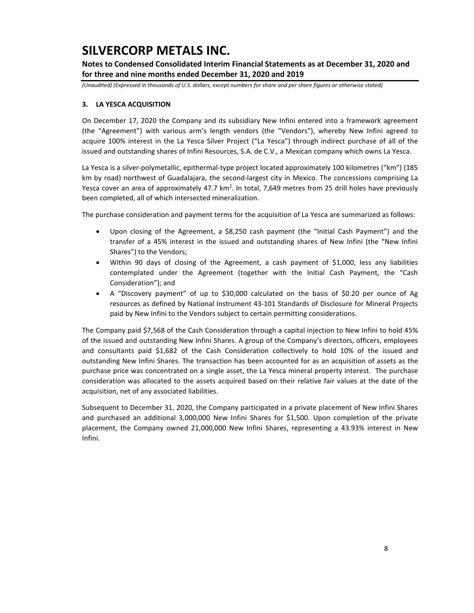**Notes to Condensed Consolidated Interim Financial Statements as at December 31, 2020 and for three and nine months ended December 31, 2020 and 2019**

*(Unaudited) (Expressed in thousands of U.S. dollars, except numbers for share and per share figures or otherwise stated)*

### **3. LA YESCA ACQUISITION**

On December 17, 2020 the Company and its subsidiary New Infini entered into a framework agreement (the "Agreement") with various arm's length vendors (the "Vendors"), whereby New Infini agreed to acquire 100% interest in the La Yesca Silver Project ("La Yesca") through indirect purchase of all of the issued and outstanding shares of Infini Resources, S.A. de C.V., a Mexican company which owns La Yesca.

La Yesca is a silver-polymetallic, epithermal-type project located approximately 100 kilometres ("km") (185 km by road) northwest of Guadalajara, the second-largest city in Mexico. The concessions comprising La Yesca cover an area of approximately 47.7  $km^2$ . In total, 7,649 metres from 25 drill holes have previously been completed, all of which intersected mineralization.

The purchase consideration and payment terms for the acquisition of La Yesca are summarized as follows:

- Upon closing of the Agreement, a \$8,250 cash payment (the "Initial Cash Payment") and the transfer of a 45% interest in the issued and outstanding shares of New Infini (the "New Infini Shares") to the Vendors;
- Within 90 days of closing of the Agreement, a cash payment of \$1,000, less any liabilities contemplated under the Agreement (together with the Initial Cash Payment, the "Cash Consideration"); and
- A "Discovery payment" of up to \$30,000 calculated on the basis of \$0.20 per ounce of Ag resources as defined by National Instrument 43-101 Standards of Disclosure for Mineral Projects paid by New Infini to the Vendors subject to certain permitting considerations.

The Company paid \$7,568 of the Cash Consideration through a capital injection to New Infini to hold 45% of the issued and outstanding New Infini Shares. A group of the Company's directors, officers, employees and consultants paid \$1,682 of the Cash Consideration collectively to hold 10% of the issued and outstanding New Infini Shares. The transaction has been accounted for as an acquisition of assets as the purchase price was concentrated on a single asset, the La Yesca mineral property interest. The purchase consideration was allocated to the assets acquired based on their relative fair values at the date of the acquisition, net of any associated liabilities.

Subsequent to December 31, 2020, the Company participated in a private placement of New Infini Shares and purchased an additional 3,000,000 New Infini Shares for \$1,500. Upon completion of the private placement, the Company owned 21,000,000 New Infini Shares, representing a 43.93% interest in New Infini.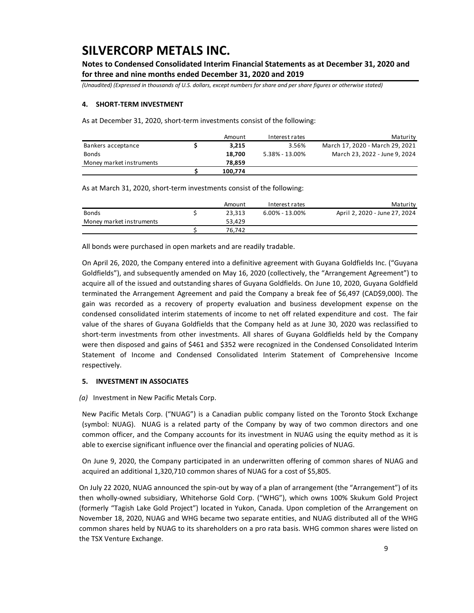**Notes to Condensed Consolidated Interim Financial Statements as at December 31, 2020 and for three and nine months ended December 31, 2020 and 2019** 

*(Unaudited) (Expressed in thousands of U.S. dollars, except numbers for share and per share figures or otherwise stated)*

#### **4. SHORT-TERM INVESTMENT**

As at December 31, 2020, short-term investments consist of the following:

|                          | Amount  | Interest rates | Maturity                        |
|--------------------------|---------|----------------|---------------------------------|
| Bankers acceptance       | 3.215   | 3.56%          | March 17, 2020 - March 29, 2021 |
| Bonds                    | 18.700  | 5.38% - 13.00% | March 23, 2022 - June 9, 2024   |
| Money market instruments | 78.859  |                |                                 |
|                          | 100.774 |                |                                 |

As at March 31, 2020, short-term investments consist of the following:

|                          | Amount | Interest rates     | Maturity                      |
|--------------------------|--------|--------------------|-------------------------------|
| <b>Bonds</b>             | 23.313 | $6.00\% - 13.00\%$ | April 2, 2020 - June 27, 2024 |
| Money market instruments | 53.429 |                    |                               |
|                          | 76.742 |                    |                               |

All bonds were purchased in open markets and are readily tradable.

On April 26, 2020, the Company entered into a definitive agreement with Guyana Goldfields Inc. ("Guyana Goldfields"), and subsequently amended on May 16, 2020 (collectively, the "Arrangement Agreement") to acquire all of the issued and outstanding shares of Guyana Goldfields. On June 10, 2020, Guyana Goldfield terminated the Arrangement Agreement and paid the Company a break fee of \$6,497 (CAD\$9,000). The gain was recorded as a recovery of property evaluation and business development expense on the condensed consolidated interim statements of income to net off related expenditure and cost. The fair value of the shares of Guyana Goldfields that the Company held as at June 30, 2020 was reclassified to short-term investments from other investments. All shares of Guyana Goldfields held by the Company were then disposed and gains of \$461 and \$352 were recognized in the Condensed Consolidated Interim Statement of Income and Condensed Consolidated Interim Statement of Comprehensive Income respectively.

### **5. INVESTMENT IN ASSOCIATES**

*(a)* Investment in New Pacific Metals Corp.

New Pacific Metals Corp. ("NUAG") is a Canadian public company listed on the Toronto Stock Exchange (symbol: NUAG). NUAG is a related party of the Company by way of two common directors and one common officer, and the Company accounts for its investment in NUAG using the equity method as it is able to exercise significant influence over the financial and operating policies of NUAG.

On June 9, 2020, the Company participated in an underwritten offering of common shares of NUAG and acquired an additional 1,320,710 common shares of NUAG for a cost of \$5,805.

On July 22 2020, NUAG announced the spin-out by way of a plan of arrangement (the "Arrangement") of its then wholly-owned subsidiary, Whitehorse Gold Corp. ("WHG"), which owns 100% Skukum Gold Project (formerly "Tagish Lake Gold Project") located in Yukon, Canada. Upon completion of the Arrangement on November 18, 2020, NUAG and WHG became two separate entities, and NUAG distributed all of the WHG common shares held by NUAG to its shareholders on a pro rata basis. WHG common shares were listed on the TSX Venture Exchange.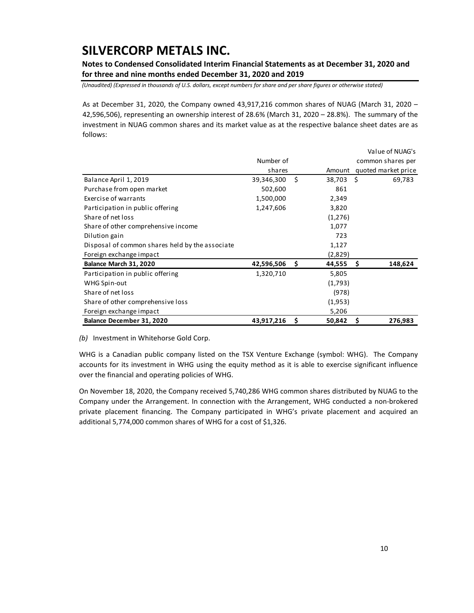**Notes to Condensed Consolidated Interim Financial Statements as at December 31, 2020 and for three and nine months ended December 31, 2020 and 2019**

*(Unaudited) (Expressed in thousands of U.S. dollars, except numbers for share and per share figures or otherwise stated)*

As at December 31, 2020, the Company owned 43,917,216 common shares of NUAG (March 31, 2020 – 42,596,506), representing an ownership interest of 28.6% (March 31, 2020 – 28.8%). The summary of the investment in NUAG common shares and its market value as at the respective balance sheet dates are as follows:

|                                                 |            |     |             | Value of NUAG's     |
|-------------------------------------------------|------------|-----|-------------|---------------------|
|                                                 | Number of  |     |             | common shares per   |
|                                                 | shares     |     | Amount      | quoted market price |
| Balance April 1, 2019                           | 39,346,300 | \$  | $38,703$ \$ | 69,783              |
| Purchase from open market                       | 502,600    |     | 861         |                     |
| Exercise of warrants                            | 1,500,000  |     | 2,349       |                     |
| Participation in public offering                | 1,247,606  |     | 3,820       |                     |
| Share of net loss                               |            |     | (1,276)     |                     |
| Share of other comprehensive income             |            |     | 1,077       |                     |
| Dilution gain                                   |            |     | 723         |                     |
| Disposal of common shares held by the associate |            |     | 1,127       |                     |
| Foreign exchange impact                         |            |     | (2,829)     |                     |
| Balance March 31, 2020                          | 42,596,506 | \$. | 44,555      | \$<br>148,624       |
| Participation in public offering                | 1,320,710  |     | 5,805       |                     |
| WHG Spin-out                                    |            |     | (1,793)     |                     |
| Share of net loss                               |            |     | (978)       |                     |
| Share of other comprehensive loss               |            |     | (1,953)     |                     |
| Foreign exchange impact                         |            |     | 5,206       |                     |
| Balance December 31, 2020                       | 43,917,216 | S   | 50,842      | 276,983<br>S        |

*(b)* Investment in Whitehorse Gold Corp.

WHG is a Canadian public company listed on the TSX Venture Exchange (symbol: WHG). The Company accounts for its investment in WHG using the equity method as it is able to exercise significant influence over the financial and operating policies of WHG.

On November 18, 2020, the Company received 5,740,286 WHG common shares distributed by NUAG to the Company under the Arrangement. In connection with the Arrangement, WHG conducted a non-brokered private placement financing. The Company participated in WHG's private placement and acquired an additional 5,774,000 common shares of WHG for a cost of \$1,326.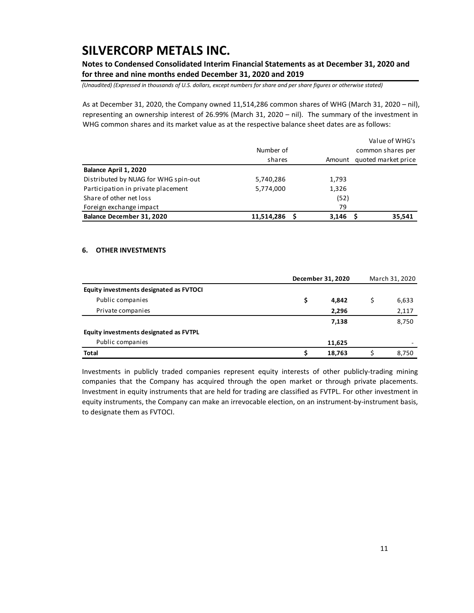**Notes to Condensed Consolidated Interim Financial Statements as at December 31, 2020 and for three and nine months ended December 31, 2020 and 2019** 

*(Unaudited) (Expressed in thousands of U.S. dollars, except numbers for share and per share figures or otherwise stated)*

As at December 31, 2020, the Company owned 11,514,286 common shares of WHG (March 31, 2020 – nil), representing an ownership interest of 26.99% (March 31, 2020 – nil). The summary of the investment in WHG common shares and its market value as at the respective balance sheet dates are as follows:

|                                      |            |        | Value of WHG's      |
|--------------------------------------|------------|--------|---------------------|
|                                      | Number of  |        | common shares per   |
|                                      | shares     | Amount | quoted market price |
| Balance April 1, 2020                |            |        |                     |
| Distributed by NUAG for WHG spin-out | 5,740,286  | 1,793  |                     |
| Participation in private placement   | 5,774,000  | 1,326  |                     |
| Share of other net loss              |            | (52)   |                     |
| Foreign exchange impact              |            | 79     |                     |
| Balance December 31, 2020            | 11,514,286 | 3,146  | 35,541              |

### **6. OTHER INVESTMENTS**

|                                         |    | December 31, 2020 | March 31, 2020 |       |  |
|-----------------------------------------|----|-------------------|----------------|-------|--|
| Equity investments designated as FVTOCI |    |                   |                |       |  |
| Public companies                        | \$ | 4,842             |                | 6,633 |  |
| Private companies                       |    | 2,296             |                | 2,117 |  |
|                                         |    | 7,138             |                | 8,750 |  |
| Equity investments designated as FVTPL  |    |                   |                |       |  |
| Public companies                        |    | 11,625            |                |       |  |
| Total                                   | s  | 18,763            |                | 8,750 |  |

Investments in publicly traded companies represent equity interests of other publicly-trading mining companies that the Company has acquired through the open market or through private placements. Investment in equity instruments that are held for trading are classified as FVTPL. For other investment in equity instruments, the Company can make an irrevocable election, on an instrument-by-instrument basis, to designate them as FVTOCI.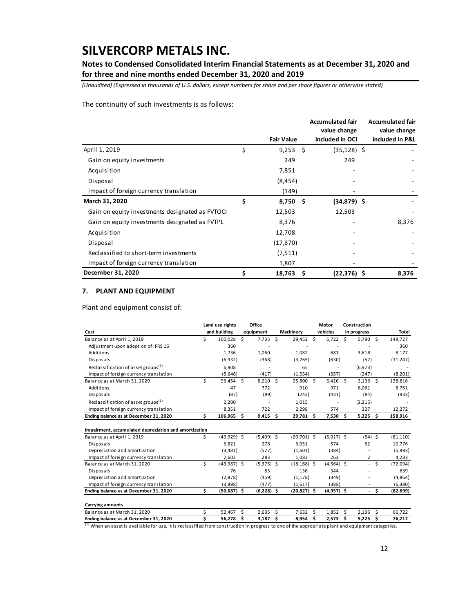**Notes to Condensed Consolidated Interim Financial Statements as at December 31, 2020 and for three and nine months ended December 31, 2020 and 2019**

*(Unaudited) (Expressed in thousands of U.S. dollars, except numbers for share and per share figures or otherwise stated)*

The continuity of such investments is as follows:

|                                                 |                   |    | <b>Accumulated fair</b><br>value change | <b>Accumulated fair</b><br>value change |
|-------------------------------------------------|-------------------|----|-----------------------------------------|-----------------------------------------|
|                                                 | <b>Fair Value</b> |    | included in OCI                         | included in P&L                         |
| April 1, 2019                                   | \$<br>9,253       | Ŝ. | $(35, 128)$ \$                          |                                         |
| Gain on equity investments                      | 249               |    | 249                                     |                                         |
| Acquisition                                     | 7,851             |    |                                         |                                         |
| Disposal                                        | (8, 454)          |    |                                         |                                         |
| Impact of foreign currency translation          | (149)             |    |                                         |                                         |
| March 31, 2020                                  | \$<br>$8,750$ \$  |    | (34,879) \$                             |                                         |
| Gain on equity investments designated as FVTOCI | 12,503            |    | 12,503                                  |                                         |
| Gain on equity investments designated as FVTPL  | 8,376             |    |                                         | 8,376                                   |
| Acquisition                                     | 12,708            |    |                                         |                                         |
| Disposal                                        | (17, 870)         |    |                                         |                                         |
| Reclassified to short-term investments          | (7,511)           |    |                                         |                                         |
| Impact of foreign currency translation          | 1,807             |    |                                         |                                         |
| December 31, 2020                               | \$<br>18,763      | \$ | (22,376) \$                             | 8,376                                   |

### **7. PLANT AND EQUIPMENT**

Plant and equipment consist of:

|                                                       |     | Land use rights |    | Office       |    |                |     | Motor        |    | Construction |      |           |
|-------------------------------------------------------|-----|-----------------|----|--------------|----|----------------|-----|--------------|----|--------------|------|-----------|
| Cost                                                  |     | and building    |    | equipment    |    | Machinery      |     | vehicles     |    | in progress  |      | Total     |
| Balance as at April 1, 2019                           | \$. | 100,028         | \$ | $7,735$ \$   |    | 29,452 \$      |     | $6,722$ \$   |    | $5,790$ \$   |      | 149,727   |
| Adjustment upon adoption of IFRS 16                   |     | 360             |    |              |    |                |     |              |    |              |      | 360       |
| Additions                                             |     | 1,736           |    | 1,060        |    | 1,082          |     | 681          |    | 3,618        |      | 8,177     |
| Disposals                                             |     | (6,932)         |    | (368)        |    | (3,265)        |     | (630)        |    | (52)         |      | (11, 247) |
| Reclassification of asset groups <sup>(1)</sup>       |     | 6,908           |    |              |    | 65             |     | $\sim$       |    | (6,973)      |      |           |
| Impact of foreign currency translation                |     | (5,646)         |    | (417)        |    | (1,534)        |     | (357)        |    | (247)        |      | (8, 201)  |
| Balance as at March 31, 2020                          | Ś   | 96,454 \$       |    | $8,010$ \$   |    | 25,800 \$      |     | $6,416$ \$   |    | $2,136$ \$   |      | 138,816   |
| Additions                                             |     | 47              |    | 772          |    | 910            |     | 971          |    | 6,061        |      | 8,761     |
| Disposals                                             |     | (87)            |    | (89)         |    | (242)          |     | (431)        |    | (84)         |      | (933)     |
| Reclassification of asset groups <sup>(1)</sup>       |     | 2,200           |    |              |    | 1,015          |     |              |    | (3,215)      |      |           |
| Impact of foreign currency translation                |     | 8,351           |    | 722          |    | 2,298          |     | 574          |    | 327          |      | 12,272    |
| Ending balance as at December 31, 2020                | Ś   | 106,965 \$      |    | $9,415$ \$   |    | 29,781 \$      |     | 7,530        | Ŝ. | $5,225$ \$   |      | 158,916   |
|                                                       |     |                 |    |              |    |                |     |              |    |              |      |           |
| Impairment, accumulated depreciation and amortization |     |                 |    |              |    |                |     |              |    |              |      |           |
| Balance as at April 1, 2019                           | Ś   | $(49,929)$ \$   |    | $(5,409)$ \$ |    | $(20,701)$ \$  |     | $(5,017)$ \$ |    | $(54)$ \$    |      | (81, 110) |
| Disposals                                             |     | 6,821           |    | 278          |    | 3,051          |     | 574          |    | 52           |      | 10,776    |
| Depreciation and amortization                         |     | (3,481)         |    | (527)        |    | (1,601)        |     | (384)        |    |              |      | (5,993)   |
| Impact of foreign currency translation                |     | 2,602           |    | 283          |    | 1,083          |     | 263          |    | 2            |      | 4,233     |
| Balance as at March 31, 2020                          | Ś.  | $(43,987)$ \$   |    | $(5,375)$ \$ |    | $(18, 168)$ \$ |     | $(4,564)$ \$ |    | $\sim$       | Ś.   | (72,094)  |
| Disposals                                             |     | 76              |    | 83           |    | 136            |     | 344          |    |              |      | 639       |
| Depreciation and amortization                         |     | (2,878)         |    | (459)        |    | (1, 178)       |     | (349)        |    |              |      | (4,864)   |
| Impact of foreign currency translation                |     | (3,898)         |    | (477)        |    | (1,617)        |     | (388)        |    |              |      | (6,380)   |
| Ending balance as at December 31, 2020                | Ś.  | $(50,687)$ \$   |    | $(6,228)$ \$ |    | $(20, 827)$ \$ |     | $(4,957)$ \$ |    |              | - \$ | (82, 699) |
|                                                       |     |                 |    |              |    |                |     |              |    |              |      |           |
| <b>Carrying amounts</b>                               |     |                 |    |              |    |                |     |              |    |              |      |           |
| Balance as at March 31, 2020                          | \$  | 52,467          | \$ | 2,635        | Ś. | 7,632          | \$. | 1,852        | Ŝ  | 2,136        | -Ś   | 66,722    |
| Ending balance as at December 31, 2020                | Ś   | 56,278          | Ś  | 3,187        | \$ | 8,954          | \$. | 2,573        | Ś  | 5,225        | Ŝ.   | 76,217    |

<sup>(1)</sup> When an asset is available for use, it is reclassified from construction in progress to one of the appropriate plant and equipment categories.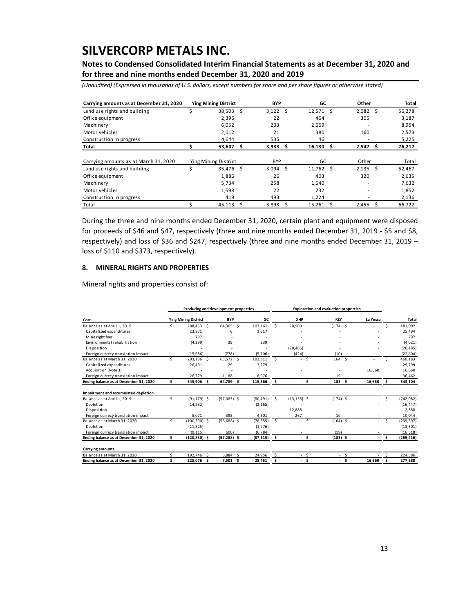**Notes to Condensed Consolidated Interim Financial Statements as at December 31, 2020 and for three and nine months ended December 31, 2020 and 2019** 

*(Unaudited) (Expressed in thousands of U.S. dollars, except numbers for share and per share figures or otherwise stated)*

| Carrying amounts as at December 31, 2020 |    |                      |    | <b>Ying Mining District</b> |     |        |     |                          |     |        |  | <b>BYP</b> |  | GC |  | Other |  | Total |
|------------------------------------------|----|----------------------|----|-----------------------------|-----|--------|-----|--------------------------|-----|--------|--|------------|--|----|--|-------|--|-------|
| Land use rights and building             | \$ | 38,503               | S  | 3,122                       | - Ś | 12,571 | - Ś | 2,082                    | - Ś | 56,278 |  |            |  |    |  |       |  |       |
| Office equipment                         |    | 2,396                |    | 22                          |     | 464    |     | 305                      |     | 3,187  |  |            |  |    |  |       |  |       |
| Machinery                                |    | 6,052                |    | 233                         |     | 2,669  |     |                          |     | 8,954  |  |            |  |    |  |       |  |       |
| Motor vehicles                           |    | 2,012                |    | 21                          |     | 380    |     | 160                      |     | 2,573  |  |            |  |    |  |       |  |       |
| Construction in progress                 |    | 4.644                |    | 535                         |     | 46     |     | $\overline{\phantom{a}}$ |     | 5,225  |  |            |  |    |  |       |  |       |
| Total                                    |    | 53,607               | S  | 3,933                       | S   | 16,130 | S   | 2,547                    | S   | 76,217 |  |            |  |    |  |       |  |       |
|                                          |    |                      |    |                             |     |        |     |                          |     |        |  |            |  |    |  |       |  |       |
| Carrying amounts as at March 31, 2020    |    | Ying Mining District |    | <b>BYP</b>                  |     | GC     |     | Other                    |     | Total  |  |            |  |    |  |       |  |       |
| Land use rights and building             | Ś  | 35,476               | Ŝ. | 3.094                       | Ŝ   | 11,762 | - Ś | 2.135                    | Ŝ   | 52,467 |  |            |  |    |  |       |  |       |
| Office equipment                         |    | 1,886                |    | 26                          |     | 403    |     | 320                      |     | 2,635  |  |            |  |    |  |       |  |       |
| Machinery                                |    | 5,734                |    | 258                         |     | 1,640  |     | ۰.                       |     | 7,632  |  |            |  |    |  |       |  |       |
| Motor vehicles                           |    | 1,598                |    | 22                          |     | 232    |     |                          |     | 1,852  |  |            |  |    |  |       |  |       |
| Construction in progress                 |    | 419                  |    | 493                         |     | 1.224  |     |                          |     | 2,136  |  |            |  |    |  |       |  |       |
| Total                                    |    | 45,113               | Ŝ  | 3,893                       | Ś   | 15,261 | Ś   | 2,455                    | S   | 66,722 |  |            |  |    |  |       |  |       |

During the three and nine months ended December 31, 2020, certain plant and equipment were disposed for proceeds of \$46 and \$47, respectively (three and nine months ended December 31, 2019 - \$5 and \$8, respectively) and loss of \$36 and \$247, respectively (three and nine months ended December 31, 2019 – loss of \$110 and \$373, respectively).

#### **8. MINERAL RIGHTS AND PROPERTIES**

Mineral rights and properties consist of:

|                                        |                             | Producing and development properties |  |                  |              |           |            | <b>Exploration and evaluation properties</b> |                          |          |                          |              |            |
|----------------------------------------|-----------------------------|--------------------------------------|--|------------------|--------------|-----------|------------|----------------------------------------------|--------------------------|----------|--------------------------|--------------|------------|
| Cost                                   | <b>Ying Mining District</b> |                                      |  | <b>BYP</b><br>GC |              |           | <b>XHP</b> | <b>RZY</b>                                   |                          | La Yesca |                          | <b>Total</b> |            |
| Balance as at April 1, 2019            |                             | 288.453 \$                           |  | 64.305 \$        |              | 107,161   | Ś.         | 20,909                                       | \$174S                   |          |                          | Ŝ            | 481,002    |
| Capitalized expenditures               |                             | 23,871                               |  | 6                |              | 1,617     |            |                                              |                          |          |                          |              | 25,494     |
| Mine right fees                        |                             | 797                                  |  |                  |              |           |            |                                              |                          |          |                          |              | 797        |
| Environmental rehabiliation            |                             | (4, 299)                             |  | 39               |              | 239       |            |                                              |                          |          |                          |              | (4,021)    |
| Disposition                            |                             |                                      |  |                  |              |           |            | (20, 485)                                    |                          |          |                          |              | (20, 485)  |
| Foreign currecy translation impact     |                             | (15, 686)                            |  | (778)            |              | (5,706)   |            | (424)                                        | (10)                     |          |                          |              | (22,604)   |
| Balance as at March 31, 2020           | Ś.                          | 293,136 \$                           |  | 63,572 \$        |              | 103,311   | Ś.         | $-5$                                         | 164                      | -Ś       |                          | Ś.           | 460,183    |
| Capitalized expenditures               |                             | 26,491                               |  | 29               |              | 3,279     |            |                                              |                          |          |                          |              | 29,799     |
| Acquisition (Note 3)                   |                             |                                      |  |                  |              |           |            |                                              |                          |          | 16,660                   |              | 16,660     |
| Foreign currecy translation impact     |                             | 26,279                               |  | 1,188            |              | 8,976     |            |                                              | 19                       |          |                          |              | 36,462     |
| Ending balance as at December 31, 2020 | Ś.                          | 345,906 \$                           |  | 64,789 \$        |              | 115,566   | \$.        | - \$                                         | 183 <sub>5</sub>         |          | 16,660                   | - \$         | 543,104    |
| Impairment and accumulated depletion   |                             |                                      |  |                  |              |           |            |                                              |                          |          |                          |              |            |
| Balance as at April 1, 2019            | Ś.                          | $(91, 179)$ \$                       |  | $(57,083)$ \$    |              | (80, 491) | Ś.         | $(13, 155)$ \$                               | $(174)$ \$               |          |                          | Ś.           | (242, 082) |
| Depletion                              |                             | (14, 282)                            |  |                  |              | (2, 165)  |            |                                              |                          |          |                          |              | (16, 447)  |
| Disposition                            |                             |                                      |  |                  |              |           |            | 12.888                                       |                          |          |                          |              | 12,888     |
| Foreign currecy translation impact     |                             | 5,071                                |  | 395              |              | 4,301     |            | 267                                          | 10                       |          |                          |              | 10,044     |
| Balance as at March 31, 2020           | Ś.                          | $(100, 390)$ \$                      |  | $(56,688)$ \$    |              | (78, 355) | Ś.         | -\$<br>$\overline{\phantom{a}}$              | $(164)$ \$               |          | $\overline{\phantom{a}}$ | Ś.           | (235, 597) |
| Depletion                              |                             | (11, 325)                            |  |                  |              | (1,976)   |            |                                              |                          |          |                          |              | (13, 301)  |
| Foreign currecy translation impact     |                             | (9, 115)                             |  | (600)            |              | (6, 784)  |            |                                              | (19)                     |          |                          |              | (16, 518)  |
| Ending balance as at December 31, 2020 | Ś.                          | $(120, 830)$ \$                      |  | $(57,288)$ \$    |              | (87, 115) | \$         | - \$                                         | $(183)$ \$               |          | $\overline{\phantom{a}}$ | Ŝ.           | (265, 416) |
| <b>Carrying amounts</b>                |                             |                                      |  |                  |              |           |            |                                              |                          |          |                          |              |            |
| Balance as at March 31, 2020           |                             | 192,746 \$                           |  | 6.884            | $\mathsf{S}$ | 24,956    | Ś          | Ŝ.                                           | $\overline{\phantom{a}}$ | Ŝ.       |                          | Ś            | 224,586    |
| Ending balance as at December 31, 2020 |                             | 225,076 \$                           |  | $7,501$ \$       |              | 28,451    | \$         | \$<br>٠                                      |                          | -\$      | 16,660                   | \$           | 277,688    |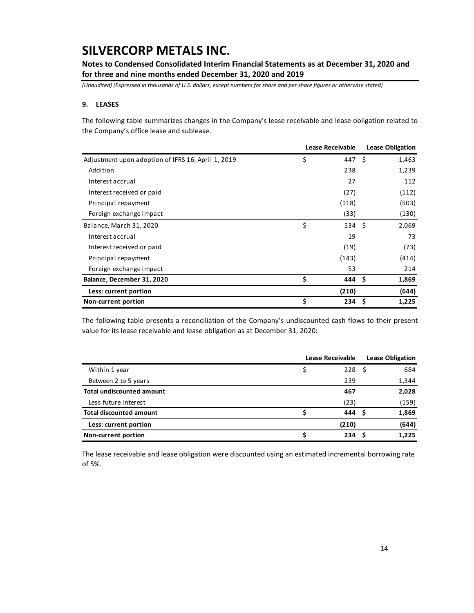**Notes to Condensed Consolidated Interim Financial Statements as at December 31, 2020 and for three and nine months ended December 31, 2020 and 2019**

*(Unaudited) (Expressed in thousands of U.S. dollars, except numbers for share and per share figures or otherwise stated)*

#### **9. LEASES**

The following table summarizes changes in the Company's lease receivable and lease obligation related to the Company's office lease and sublease.

|                                                    | Lease Receivable | <b>Lease Obligation</b> |       |  |
|----------------------------------------------------|------------------|-------------------------|-------|--|
| Adjustment upon adoption of IFRS 16, April 1, 2019 | \$<br>447 \$     |                         | 1,463 |  |
| Addition                                           | 238              |                         | 1,239 |  |
| Interest accrual                                   | 27               |                         | 112   |  |
| Interest received or paid                          | (27)             |                         | (112) |  |
| Principal repayment                                | (118)            |                         | (503) |  |
| Foreign exchange impact                            | (33)             |                         | (130) |  |
| Balance, March 31, 2020                            | \$<br>534 \$     |                         | 2,069 |  |
| Interest accrual                                   | 19               |                         | 73    |  |
| Interest received or paid                          | (19)             |                         | (73)  |  |
| Principal repayment                                | (143)            |                         | (414) |  |
| Foreign exchange impact                            | 53               |                         | 214   |  |
| Balance, December 31, 2020                         | \$<br>444 \$     |                         | 1,869 |  |
| Less: current portion                              | (210)            |                         | (644) |  |
| Non-current portion                                | \$<br>234S       |                         | 1,225 |  |

The following table presents a reconciliation of the Company's undiscounted cash flows to their present value for its lease receivable and lease obligation as at December 31, 2020:

|                                  | Lease Receivable |  |       |  |  |
|----------------------------------|------------------|--|-------|--|--|
| Within 1 year                    | 228 <sup>5</sup> |  | 684   |  |  |
| Between 2 to 5 years             | 239              |  | 1,344 |  |  |
| <b>Total undiscounted amount</b> | 467              |  | 2,028 |  |  |
| Less future interest             | (23)             |  | (159) |  |  |
| <b>Total discounted amount</b>   | 444 S            |  | 1,869 |  |  |
| Less: current portion            | (210)            |  | (644) |  |  |
| Non-current portion              | 234              |  | 1,225 |  |  |

The lease receivable and lease obligation were discounted using an estimated incremental borrowing rate of 5%.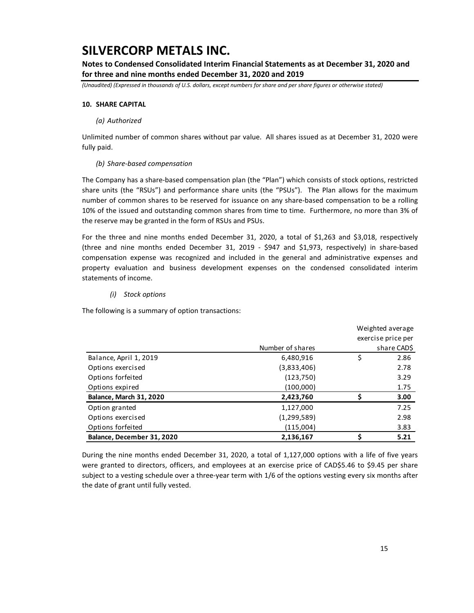**Notes to Condensed Consolidated Interim Financial Statements as at December 31, 2020 and for three and nine months ended December 31, 2020 and 2019**

*(Unaudited) (Expressed in thousands of U.S. dollars, except numbers for share and per share figures or otherwise stated)*

#### **10. SHARE CAPITAL**

#### *(a) Authorized*

Unlimited number of common shares without par value. All shares issued as at December 31, 2020 were fully paid.

#### *(b) Share-based compensation*

The Company has a share-based compensation plan (the "Plan") which consists of stock options, restricted share units (the "RSUs") and performance share units (the "PSUs"). The Plan allows for the maximum number of common shares to be reserved for issuance on any share-based compensation to be a rolling 10% of the issued and outstanding common shares from time to time. Furthermore, no more than 3% of the reserve may be granted in the form of RSUs and PSUs.

For the three and nine months ended December 31, 2020, a total of \$1,263 and \$3,018, respectively (three and nine months ended December 31, 2019 - \$947 and \$1,973, respectively) in share-based compensation expense was recognized and included in the general and administrative expenses and property evaluation and business development expenses on the condensed consolidated interim statements of income.

*(i) Stock options*

The following is a summary of option transactions:

|                            |                  | Weighted average |                    |  |
|----------------------------|------------------|------------------|--------------------|--|
|                            |                  |                  | exercise price per |  |
|                            | Number of shares |                  | share CAD\$        |  |
| Balance, April 1, 2019     | 6,480,916        | \$               | 2.86               |  |
| Options exercised          | (3,833,406)      |                  | 2.78               |  |
| Options forfeited          | (123, 750)       |                  | 3.29               |  |
| Options expired            | (100,000)        |                  | 1.75               |  |
| Balance, March 31, 2020    | 2,423,760        |                  | 3.00               |  |
| Option granted             | 1,127,000        |                  | 7.25               |  |
| Options exercised          | (1, 299, 589)    |                  | 2.98               |  |
| Options forfeited          | (115,004)        |                  | 3.83               |  |
| Balance, December 31, 2020 | 2,136,167        | Ś                | 5.21               |  |

During the nine months ended December 31, 2020, a total of 1,127,000 options with a life of five years were granted to directors, officers, and employees at an exercise price of CAD\$5.46 to \$9.45 per share subject to a vesting schedule over a three-year term with 1/6 of the options vesting every six months after the date of grant until fully vested.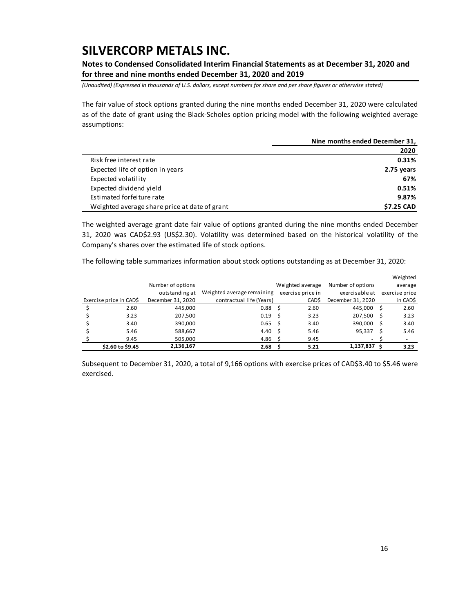**Notes to Condensed Consolidated Interim Financial Statements as at December 31, 2020 and for three and nine months ended December 31, 2020 and 2019**

*(Unaudited) (Expressed in thousands of U.S. dollars, except numbers for share and per share figures or otherwise stated)*

The fair value of stock options granted during the nine months ended December 31, 2020 were calculated as of the date of grant using the Black-Scholes option pricing model with the following weighted average assumptions:

|                                               | Nine months ended December 31, |
|-----------------------------------------------|--------------------------------|
|                                               | 2020                           |
| Risk free interest rate                       | 0.31%                          |
| Expected life of option in years              | 2.75 years                     |
| Expected volatility                           | 67%                            |
| Expected dividend yield                       | 0.51%                          |
| Estimated forfeiture rate                     | 9.87%                          |
| Weighted average share price at date of grant | \$7.25 CAD                     |

The weighted average grant date fair value of options granted during the nine months ended December 31, 2020 was CAD\$2.93 (US\$2.30). Volatility was determined based on the historical volatility of the Company's shares over the estimated life of stock options.

The following table summarizes information about stock options outstanding as at December 31, 2020:

|                         |                   |                            |                   |                   |     | Weighted       |
|-------------------------|-------------------|----------------------------|-------------------|-------------------|-----|----------------|
|                         | Number of options |                            | Weighted average  | Number of options |     | average        |
|                         | outstanding at    | Weighted average remaining | exercise price in | exercisable at    |     | exercise price |
| Exercise price in CAD\$ | December 31, 2020 | contractual life (Years)   | CAD\$             | December 31, 2020 |     | in CAD\$       |
| 2.60                    | 445.000           | 0.88 <sup>5</sup>          | 2.60              | 445.000           | - S | 2.60           |
| 3.23                    | 207.500           | $0.19 \quad$ \$            | 3.23              | 207,500           |     | 3.23           |
| 3.40                    | 390.000           | $0.65 \quad$ \$            | 3.40              | 390,000           |     | 3.40           |
| 5.46                    | 588,667           | 4.40 \$                    | 5.46              | 95,337            |     | 5.46           |
| 9.45                    | 505.000           | 4.86 <sup>5</sup>          | 9.45              |                   |     |                |
| \$2.60 to \$9.45        | 2,136,167         | 2.68 <sub>5</sub>          | 5.21              | 1.137.837 \$      |     | 3.23           |

Subsequent to December 31, 2020, a total of 9,166 options with exercise prices of CAD\$3.40 to \$5.46 were exercised.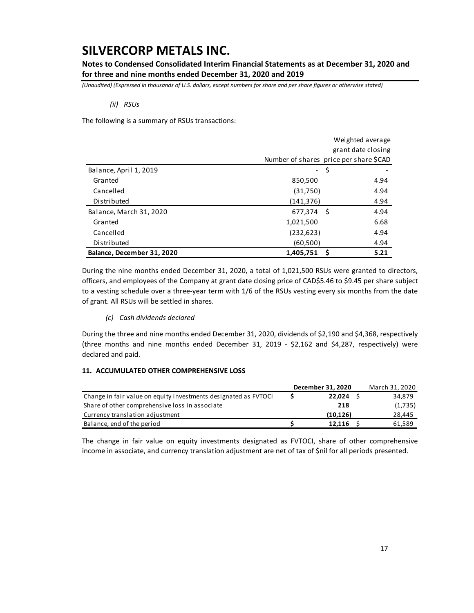**Notes to Condensed Consolidated Interim Financial Statements as at December 31, 2020 and for three and nine months ended December 31, 2020 and 2019**

*(Unaudited) (Expressed in thousands of U.S. dollars, except numbers for share and per share figures or otherwise stated)*

#### *(ii) RSUs*

The following is a summary of RSUs transactions:

|                            |                                        | Weighted average   |      |
|----------------------------|----------------------------------------|--------------------|------|
|                            |                                        | grant date closing |      |
|                            | Number of shares price per share \$CAD |                    |      |
| Balance, April 1, 2019     |                                        | - \$               |      |
| Granted                    | 850,500                                |                    | 4.94 |
| Cancelled                  | (31,750)                               |                    | 4.94 |
| Distributed                | (141, 376)                             |                    | 4.94 |
| Balance, March 31, 2020    | 677,374                                | - \$               | 4.94 |
| Granted                    | 1,021,500                              |                    | 6.68 |
| Cancelled                  | (232, 623)                             |                    | 4.94 |
| Distributed                | (60, 500)                              |                    | 4.94 |
| Balance, December 31, 2020 | 1,405,751                              | - S                | 5.21 |

During the nine months ended December 31, 2020, a total of 1,021,500 RSUs were granted to directors, officers, and employees of the Company at grant date closing price of CAD\$5.46 to \$9.45 per share subject to a vesting schedule over a three-year term with 1/6 of the RSUs vesting every six months from the date of grant. All RSUs will be settled in shares.

### *(c) Cash dividends declared*

During the three and nine months ended December 31, 2020, dividends of \$2,190 and \$4,368, respectively (three months and nine months ended December 31, 2019 - \$2,162 and \$4,287, respectively) were declared and paid.

### **11. ACCUMULATED OTHER COMPREHENSIVE LOSS**

|                                                                 | December 31, 2020 | March 31, 2020 |
|-----------------------------------------------------------------|-------------------|----------------|
| Change in fair value on equity investments designated as FVTOCI | 22.024            | 34,879         |
| Share of other comprehensive loss in associate                  | 218               | (1,735)        |
| Currency translation adjustment                                 | (10.126)          | 28.445         |
| Balance, end of the period                                      | 12.116            | 61.589         |

The change in fair value on equity investments designated as FVTOCI, share of other comprehensive income in associate, and currency translation adjustment are net of tax of \$nil for all periods presented.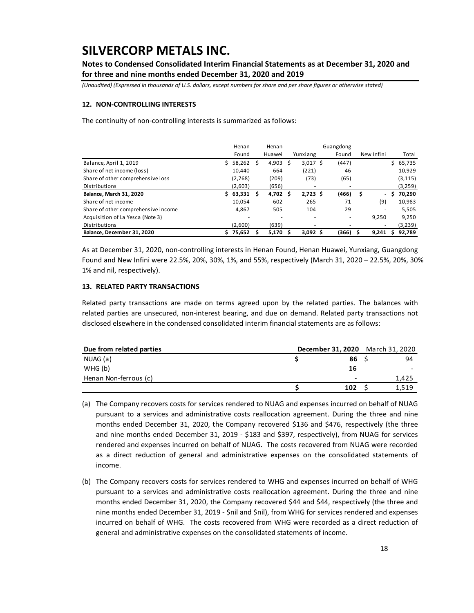**Notes to Condensed Consolidated Interim Financial Statements as at December 31, 2020 and for three and nine months ended December 31, 2020 and 2019** 

*(Unaudited) (Expressed in thousands of U.S. dollars, except numbers for share and per share figures or otherwise stated)*

#### **12. NON-CONTROLLING INTERESTS**

The continuity of non-controlling interests is summarized as follows:

|                                     |    | Henan   |    | Henan                    |    |                    | Guangdong |       |            |              |          |
|-------------------------------------|----|---------|----|--------------------------|----|--------------------|-----------|-------|------------|--------------|----------|
|                                     |    | Found   |    | Huawei                   |    | Yunxiang           |           | Found | New Infini |              | Total    |
| Balance, April 1, 2019              | Ś. | 58,262  | Ŝ. | 4,903                    | S. | $3,017$ \$         |           | (447) |            | Ś.           | 65,735   |
| Share of net income (loss)          |    | 10.440  |    | 664                      |    | (221)              |           | 46    |            |              | 10,929   |
| Share of other comprehensive loss   |    | (2,768) |    | (209)                    |    | (73)               |           | (65)  |            |              | (3, 115) |
| Distributions                       |    | (2,603) |    | (656)                    |    | ٠                  |           |       |            |              | (3,259)  |
| Balance, March 31, 2020             | S. | 63,331  | s  | 4,702 \$                 |    | $2,723$ \$         |           | (466) | S          | -S<br>$\sim$ | 70,290   |
| Share of net income                 |    | 10.054  |    | 602                      |    | 265                |           | 71    | (9)        |              | 10,983   |
| Share of other comprehensive income |    | 4,867   |    | 505                      |    | 104                |           | 29    | ۰          |              | 5.505    |
| Acquisition of La Yesca (Note 3)    |    |         |    | $\overline{\phantom{a}}$ |    |                    |           |       | 9.250      |              | 9,250    |
| Distributions                       |    | (2,600) |    | (639)                    |    | -                  |           |       |            |              | (3,239)  |
| Balance. December 31, 2020          | S. | 75.652  |    | 5.170                    |    | 3.092 <sub>5</sub> |           | (366) | 9.241<br>S | s            | 92.789   |

As at December 31, 2020, non-controlling interests in Henan Found, Henan Huawei, Yunxiang, Guangdong Found and New Infini were 22.5%, 20%, 30%, 1%, and 55%, respectively (March 31, 2020 – 22.5%, 20%, 30% 1% and nil, respectively).

### **13. RELATED PARTY TRANSACTIONS**

Related party transactions are made on terms agreed upon by the related parties. The balances with related parties are unsecured, non-interest bearing, and due on demand. Related party transactions not disclosed elsewhere in the condensed consolidated interim financial statements are as follows:

| Due from related parties |     | December 31, 2020 March 31, 2020 |
|--------------------------|-----|----------------------------------|
| NUAG (a)                 | 86  | 94                               |
| WHG(b)                   | 16  |                                  |
| Henan Non-ferrous (c)    | -   | 1.425                            |
|                          | 102 | 1.519                            |

(a) The Company recovers costs for services rendered to NUAG and expenses incurred on behalf of NUAG pursuant to a services and administrative costs reallocation agreement. During the three and nine months ended December 31, 2020, the Company recovered \$136 and \$476, respectively (the three and nine months ended December 31, 2019 - \$183 and \$397, respectively), from NUAG for services rendered and expenses incurred on behalf of NUAG. The costs recovered from NUAG were recorded as a direct reduction of general and administrative expenses on the consolidated statements of income.

(b) The Company recovers costs for services rendered to WHG and expenses incurred on behalf of WHG pursuant to a services and administrative costs reallocation agreement. During the three and nine months ended December 31, 2020, the Company recovered \$44 and \$44, respectively (the three and nine months ended December 31, 2019 - \$nil and \$nil), from WHG for services rendered and expenses incurred on behalf of WHG. The costs recovered from WHG were recorded as a direct reduction of general and administrative expenses on the consolidated statements of income.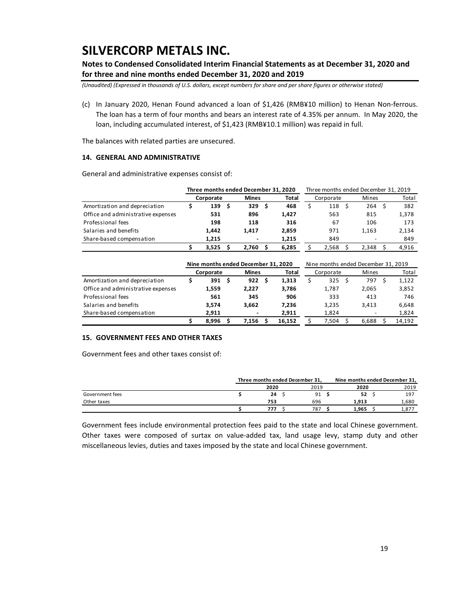**Notes to Condensed Consolidated Interim Financial Statements as at December 31, 2020 and for three and nine months ended December 31, 2020 and 2019**

*(Unaudited) (Expressed in thousands of U.S. dollars, except numbers for share and per share figures or otherwise stated)*

(c) In January 2020, Henan Found advanced a loan of \$1,426 (RMB¥10 million) to Henan Non-ferrous. The loan has a term of four months and bears an interest rate of 4.35% per annum. In May 2020, the loan, including accumulated interest, of \$1,423 (RMB¥10.1 million) was repaid in full.

The balances with related parties are unsecured.

#### **14. GENERAL AND ADMINISTRATIVE**

General and administrative expenses consist of:

|                                    |                                    |       |     | Three months ended December 31, 2020 |       | Three months ended December 31, 2019 |           |  |       |       |       |  |  |
|------------------------------------|------------------------------------|-------|-----|--------------------------------------|-------|--------------------------------------|-----------|--|-------|-------|-------|--|--|
|                                    | Total<br><b>Mines</b><br>Corporate |       |     |                                      |       |                                      | Corporate |  | Mines | Total |       |  |  |
| Amortization and depreciation      |                                    | 139   | - S | 329 <sup>5</sup>                     | 468   |                                      | 118       |  | 264   |       | 382   |  |  |
| Office and administrative expenses |                                    | 531   |     | 896                                  | 1.427 |                                      | 563       |  | 815   |       | 1,378 |  |  |
| Professional fees                  |                                    | 198   |     | 118                                  | 316   |                                      | 67        |  | 106   |       | 173   |  |  |
| Salaries and benefits              |                                    | 1,442 |     | 1.417                                | 2,859 |                                      | 971       |  | 1.163 |       | 2,134 |  |  |
| Share-based compensation           |                                    | 1,215 |     |                                      | 1,215 |                                      | 849       |  |       |       | 849   |  |  |
|                                    |                                    | 3.525 |     | 2.760                                | 6,285 |                                      | 2.568     |  | 2.348 |       | 4,916 |  |  |

|                                    |                           | Nine months ended December 31, 2020 |       |  |        | Nine months ended December 31, 2019 |           |  |       |       |        |  |  |
|------------------------------------|---------------------------|-------------------------------------|-------|--|--------|-------------------------------------|-----------|--|-------|-------|--------|--|--|
|                                    | <b>Mines</b><br>Corporate |                                     |       |  | Total  |                                     | Corporate |  | Mines | Total |        |  |  |
| Amortization and depreciation      |                           | 391<br>- S                          | 922   |  | 1,313  |                                     | 325       |  | 797   |       | 1,122  |  |  |
| Office and administrative expenses |                           | 1,559                               | 2.227 |  | 3,786  |                                     | 1.787     |  | 2,065 |       | 3,852  |  |  |
| Professional fees                  |                           | 561                                 | 345   |  | 906    |                                     | 333       |  | 413   |       | 746    |  |  |
| Salaries and benefits              |                           | 3.574                               | 3.662 |  | 7.236  |                                     | 3,235     |  | 3.413 |       | 6,648  |  |  |
| Share-based compensation           |                           | 2.911                               | $\,$  |  | 2,911  |                                     | 1.824     |  |       |       | 1,824  |  |  |
|                                    |                           | 8.996                               | 7.156 |  | 16.152 |                                     | 7.504     |  | 6,688 |       | 14,192 |  |  |

#### **15. GOVERNMENT FEES AND OTHER TAXES**

Government fees and other taxes consist of:

|                 | Three months ended December 31, |      | Nine months ended December 31, |  |       |  |  |
|-----------------|---------------------------------|------|--------------------------------|--|-------|--|--|
|                 | 2020                            | 2019 | 2020                           |  | 2019  |  |  |
| Government fees | 24                              | 91   | 52                             |  | 197   |  |  |
| Other taxes     | 753                             | 696  | 1.913                          |  | 1,680 |  |  |
|                 | 777                             | 787  | 1,965                          |  | 1,877 |  |  |

Government fees include environmental protection fees paid to the state and local Chinese government. Other taxes were composed of surtax on value-added tax, land usage levy, stamp duty and other miscellaneous levies, duties and taxes imposed by the state and local Chinese government.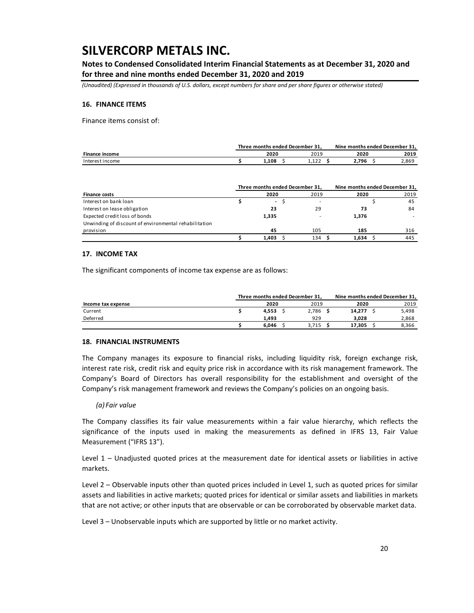**Notes to Condensed Consolidated Interim Financial Statements as at December 31, 2020 and for three and nine months ended December 31, 2020 and 2019** 

*(Unaudited) (Expressed in thousands of U.S. dollars, except numbers for share and per share figures or otherwise stated)*

#### **16. FINANCE ITEMS**

Finance items consist of:

|                 |       | Three months ended December 31. | Nine months ended December 31. |       |  |  |  |  |
|-----------------|-------|---------------------------------|--------------------------------|-------|--|--|--|--|
| Finance income  | 2020  | 2019                            | 2020                           | 2019  |  |  |  |  |
| Interest income | 1.108 | ຳ<br>. <i>.</i>                 | 796                            | 2,869 |  |  |  |  |

|                                                       | Three months ended December 31, | Nine months ended December 31, |       |      |  |  |
|-------------------------------------------------------|---------------------------------|--------------------------------|-------|------|--|--|
| <b>Finance costs</b>                                  | 2020                            | 2019                           | 2020  | 2019 |  |  |
| Interest on bank loan                                 | $\blacksquare$                  |                                |       | 45   |  |  |
| Interest on lease obligation                          | 23                              | 29                             | 73    | 84   |  |  |
| Expected credit loss of bonds                         | 1,335                           |                                | 1.376 |      |  |  |
| Unwinding of discount of environmental rehabilitation |                                 |                                |       |      |  |  |
| provision                                             | 45                              | 105                            | 185   | 316  |  |  |
|                                                       | 1.403                           | 134                            | 1.634 | 445  |  |  |

### **17. INCOME TAX**

The significant components of income tax expense are as follows:

|                    | Three months ended December 31, |       |        | Nine months ended December 31, |       |  |
|--------------------|---------------------------------|-------|--------|--------------------------------|-------|--|
| Income tax expense | 2020                            | 2019  | 2020   |                                | 2019  |  |
| Current            | 4.553                           | 2.786 | 14.277 |                                | 5,498 |  |
| Deferred           | 1.493                           | 929   | 3.028  |                                | 2,868 |  |
|                    | 6.046                           | 3.715 | 17.305 |                                | 8,366 |  |

#### **18. FINANCIAL INSTRUMENTS**

The Company manages its exposure to financial risks, including liquidity risk, foreign exchange risk, interest rate risk, credit risk and equity price risk in accordance with its risk management framework. The Company's Board of Directors has overall responsibility for the establishment and oversight of the Company's risk management framework and reviews the Company's policies on an ongoing basis.

### *(a) Fair value*

The Company classifies its fair value measurements within a fair value hierarchy, which reflects the significance of the inputs used in making the measurements as defined in IFRS 13, Fair Value Measurement ("IFRS 13").

Level 1 – Unadjusted quoted prices at the measurement date for identical assets or liabilities in active markets.

Level 2 – Observable inputs other than quoted prices included in Level 1, such as quoted prices for similar assets and liabilities in active markets; quoted prices for identical or similar assets and liabilities in markets that are not active; or other inputs that are observable or can be corroborated by observable market data.

Level 3 – Unobservable inputs which are supported by little or no market activity.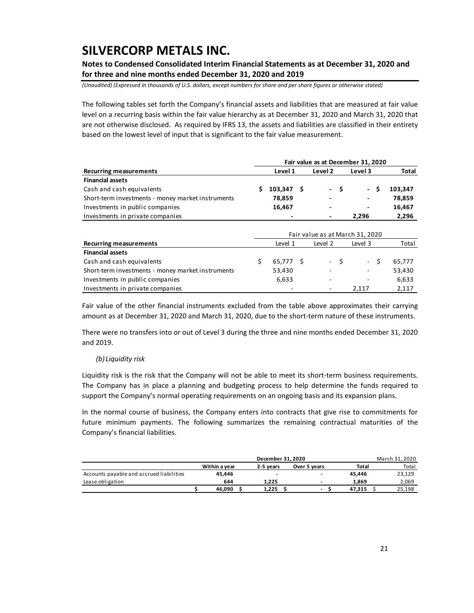**Notes to Condensed Consolidated Interim Financial Statements as at December 31, 2020 and for three and nine months ended December 31, 2020 and 2019** 

*(Unaudited) (Expressed in thousands of U.S. dollars, except numbers for share and per share figures or otherwise stated)*

The following tables set forth the Company's financial assets and liabilities that are measured at fair value level on a recurring basis within the fair value hierarchy as at December 31, 2020 and March 31, 2020 that are not otherwise disclosed. As required by IFRS 13, the assets and liabilities are classified in their entirety based on the lowest level of input that is significant to the fair value measurement.

|                                                   |    |           | Fair value as at December 31, 2020 |         |      |                                 |    |              |
|---------------------------------------------------|----|-----------|------------------------------------|---------|------|---------------------------------|----|--------------|
| <b>Recurring measurements</b>                     |    | Level 1   |                                    | Level 2 |      | Level 3                         |    | <b>Total</b> |
| <b>Financial assets</b>                           |    |           |                                    |         |      |                                 |    |              |
| Cash and cash equivalents                         | S  | 103,347   | - S                                |         | - \$ | $\sim$                          | -S | 103,347      |
| Short-term investments - money market instruments |    | 78,859    |                                    |         |      | $\overline{\phantom{a}}$        |    | 78,859       |
| Investments in public companies                   |    | 16,467    |                                    | -       |      |                                 |    | 16,467       |
| Investments in private companies                  |    |           |                                    |         |      | 2,296                           |    | 2,296        |
|                                                   |    |           |                                    |         |      | Fair value as at March 31, 2020 |    |              |
| <b>Recurring measurements</b>                     |    | Level 1   |                                    | Level 2 |      | Level 3                         |    | Total        |
| <b>Financial assets</b>                           |    |           |                                    |         |      |                                 |    |              |
| Cash and cash equivalents                         | \$ | 65.777 \$ |                                    |         | - \$ | - \$                            |    | 65,777       |
| Short-term investments - money market instruments |    | 53,430    |                                    |         |      | $\overline{\phantom{a}}$        |    | 53,430       |
| Investments in public companies                   |    | 6,633     |                                    |         |      |                                 |    | 6,633        |
| Investments in private companies                  |    |           |                                    |         |      | 2.117                           |    | 2,117        |

Fair value of the other financial instruments excluded from the table above approximates their carrying amount as at December 31, 2020 and March 31, 2020, due to the short-term nature of these instruments.

There were no transfers into or out of Level 3 during the three and nine months ended December 31, 2020 and 2019.

### *(b) Liquidity risk*

Liquidity risk is the risk that the Company will not be able to meet its short-term business requirements. The Company has in place a planning and budgeting process to help determine the funds required to support the Company's normal operating requirements on an ongoing basis and its expansion plans.

In the normal course of business, the Company enters into contracts that give rise to commitments for future minimum payments. The following summarizes the remaining contractual maturities of the Company's financial liabilities.

|                                          |               | March 31, 2020 |       |        |        |
|------------------------------------------|---------------|----------------|-------|--------|--------|
|                                          | Within a vear | Total          | Total |        |        |
| Accounts payable and accrued liabilities | 45.446        | -              | -     | 45.446 | 23,129 |
| Lease obligation                         | 644           | 1.225          |       | 1.869  | 2,069  |
|                                          | 46.090        | 1.225          | -     | 47.315 | 25.198 |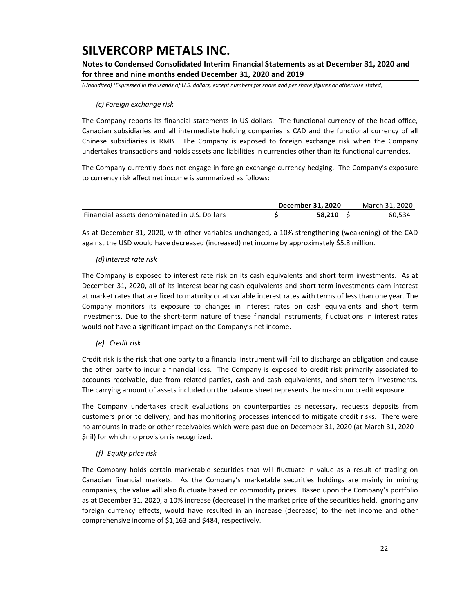**Notes to Condensed Consolidated Interim Financial Statements as at December 31, 2020 and for three and nine months ended December 31, 2020 and 2019** 

*(Unaudited) (Expressed in thousands of U.S. dollars, except numbers for share and per share figures or otherwise stated)*

#### *(c) Foreign exchange risk*

The Company reports its financial statements in US dollars. The functional currency of the head office, Canadian subsidiaries and all intermediate holding companies is CAD and the functional currency of all Chinese subsidiaries is RMB. The Company is exposed to foreign exchange risk when the Company undertakes transactions and holds assets and liabilities in currencies other than its functional currencies.

The Company currently does not engage in foreign exchange currency hedging. The Company's exposure to currency risk affect net income is summarized as follows:

|                                              | December 31, 2020 | March 31. 2020 |
|----------------------------------------------|-------------------|----------------|
| Financial assets denominated in U.S. Dollars | 58.210            | 60.534         |

As at December 31, 2020, with other variables unchanged, a 10% strengthening (weakening) of the CAD against the USD would have decreased (increased) net income by approximately \$5.8 million.

### *(d)Interest rate risk*

The Company is exposed to interest rate risk on its cash equivalents and short term investments. As at December 31, 2020, all of its interest-bearing cash equivalents and short-term investments earn interest at market rates that are fixed to maturity or at variable interest rates with terms of less than one year. The Company monitors its exposure to changes in interest rates on cash equivalents and short term investments. Due to the short-term nature of these financial instruments, fluctuations in interest rates would not have a significant impact on the Company's net income.

### *(e) Credit risk*

Credit risk is the risk that one party to a financial instrument will fail to discharge an obligation and cause the other party to incur a financial loss. The Company is exposed to credit risk primarily associated to accounts receivable, due from related parties, cash and cash equivalents, and short-term investments. The carrying amount of assets included on the balance sheet represents the maximum credit exposure.

The Company undertakes credit evaluations on counterparties as necessary, requests deposits from customers prior to delivery, and has monitoring processes intended to mitigate credit risks. There were no amounts in trade or other receivables which were past due on December 31, 2020 (at March 31, 2020 - \$nil) for which no provision is recognized.

### *(f) Equity price risk*

The Company holds certain marketable securities that will fluctuate in value as a result of trading on Canadian financial markets. As the Company's marketable securities holdings are mainly in mining companies, the value will also fluctuate based on commodity prices. Based upon the Company's portfolio as at December 31, 2020, a 10% increase (decrease) in the market price of the securities held, ignoring any foreign currency effects, would have resulted in an increase (decrease) to the net income and other comprehensive income of \$1,163 and \$484, respectively.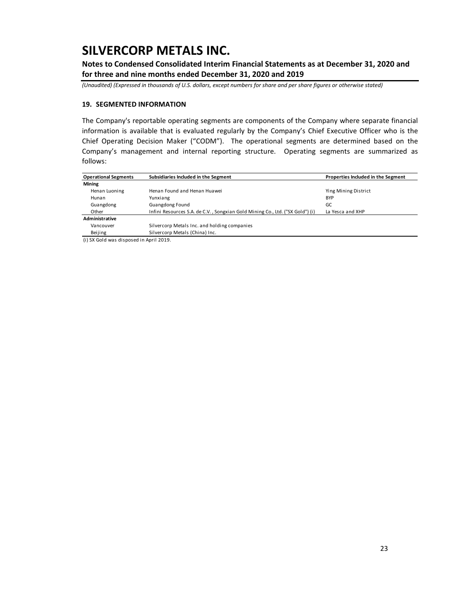**Notes to Condensed Consolidated Interim Financial Statements as at December 31, 2020 and for three and nine months ended December 31, 2020 and 2019**

*(Unaudited) (Expressed in thousands of U.S. dollars, except numbers for share and per share figures or otherwise stated)*

#### **19. SEGMENTED INFORMATION**

The Company's reportable operating segments are components of the Company where separate financial information is available that is evaluated regularly by the Company's Chief Executive Officer who is the Chief Operating Decision Maker ("CODM"). The operational segments are determined based on the Company's management and internal reporting structure. Operating segments are summarized as follows:

| <b>Operational Segments</b> | Subsidiaries Included in the Segment                                          | Properties Included in the Segment |
|-----------------------------|-------------------------------------------------------------------------------|------------------------------------|
| <b>Mining</b>               |                                                                               |                                    |
| Henan Luoning               | Henan Found and Henan Huawei                                                  | Ying Mining District               |
| Hunan                       | Yunxiang                                                                      | <b>BYP</b>                         |
| Guangdong                   | <b>Guangdong Found</b>                                                        | GC                                 |
| Other                       | Infini Resources S.A. de C.V., Songxian Gold Mining Co., Ltd. ("SX Gold") (i) | La Yesca and XHP                   |
| Administrative              |                                                                               |                                    |
| Vancouver                   | Silvercorp Metals Inc. and holding companies                                  |                                    |
| Beijing                     | Silvercorp Metals (China) Inc.                                                |                                    |

(i) SX Gold was disposed in April 2019.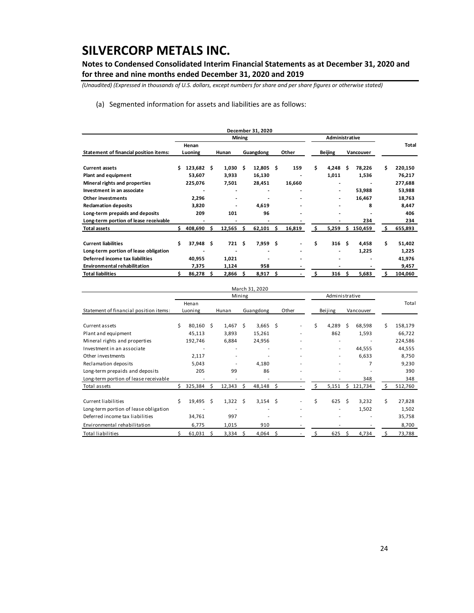**Notes to Condensed Consolidated Interim Financial Statements as at December 31, 2020 and for three and nine months ended December 31, 2020 and 2019**

*(Unaudited) (Expressed in thousands of U.S. dollars, except numbers for share and per share figures or otherwise stated)*

(a) Segmented information for assets and liabilities are as follows:

|                                               |    |                  |   |        |        | December 31, 2020 |     |                          |     |                |     |           |    |         |
|-----------------------------------------------|----|------------------|---|--------|--------|-------------------|-----|--------------------------|-----|----------------|-----|-----------|----|---------|
|                                               |    |                  |   |        | Mining |                   |     |                          |     | Administrative |     |           |    |         |
| <b>Statement of financial position items:</b> |    | Henan<br>Luoning |   | Hunan  |        | Guangdong         |     | Other                    |     | <b>Beijing</b> |     | Vancouver |    | Total   |
| <b>Current assets</b>                         | Ś  | 123,682 \$       |   | 1,030  | Ŝ      | 12,805            | \$  | 159                      | \$  | 4,248          | S   | 78,226    | Ś  | 220,150 |
| Plant and equipment                           |    | 53,607           |   | 3,933  |        | 16,130            |     |                          |     | 1,011          |     | 1,536     |    | 76,217  |
| Mineral rights and properties                 |    | 225,076          |   | 7,501  |        | 28,451            |     | 16,660                   |     |                |     |           |    | 277,688 |
| Investment in an associate                    |    |                  |   |        |        |                   |     |                          |     |                |     | 53,988    |    | 53,988  |
| <b>Other investments</b>                      |    | 2,296            |   |        |        |                   |     |                          |     |                |     | 16,467    |    | 18,763  |
| <b>Reclamation deposits</b>                   |    | 3,820            |   |        |        | 4,619             |     |                          |     |                |     | 8         |    | 8,447   |
| Long-term prepaids and deposits               |    | 209              |   | 101    |        | 96                |     |                          |     |                |     |           |    | 406     |
| Long-term portion of lease receivable         |    |                  |   |        |        |                   |     |                          |     |                |     | 234       |    | 234     |
| <b>Total assets</b>                           | s. | 408,690          | Ŝ | 12,565 | S      | 62,101            | \$. | 16,819                   | \$. | 5,259          | Ŝ.  | 150,459   | Ś  | 655,893 |
| <b>Current liabilities</b>                    | Ś  | 37,948 \$        |   | 721 \$ |        | $7,959$ \$        |     | $\overline{\phantom{a}}$ | \$  | 316            | - Ś | 4,458     | Ś  | 51,402  |
| Long-term portion of lease obligation         |    |                  |   |        |        | ٠                 |     |                          |     |                |     | 1,225     |    | 1,225   |
| Deferred income tax liabilities               |    | 40,955           |   | 1,021  |        |                   |     |                          |     |                |     |           |    | 41,976  |
| <b>Environmental rehabilitation</b>           |    | 7,375            |   | 1,124  |        | 958               |     |                          |     |                |     |           |    | 9,457   |
| <b>Total liabilities</b>                      |    | 86,278           | Ŝ | 2,866  | S      | 8,917             | Ś   |                          | Ś.  | 316            | S   | 5,683     | Ś. | 104,060 |

|                                        |    |         |    |                          |        | March 31, 2020 |     |       |    |                |     |           |    |         |
|----------------------------------------|----|---------|----|--------------------------|--------|----------------|-----|-------|----|----------------|-----|-----------|----|---------|
|                                        |    |         |    |                          | Mining |                |     |       |    | Administrative |     |           |    |         |
|                                        |    | Henan   |    |                          |        |                |     |       |    |                |     |           |    | Total   |
| Statement of financial position items: |    | Luoning |    | Hunan                    |        | Guangdong      |     | Other |    | Beijing        |     | Vancouver |    |         |
|                                        |    |         |    |                          |        |                |     |       |    |                |     |           |    |         |
| Current assets                         | Ś  | 80,160  | Ŝ. | 1,467                    | Ś.     | 3,665          | -\$ |       | ς  | 4,289          | Ŝ.  | 68,598    | Ś  | 158,179 |
| Plant and equipment                    |    | 45,113  |    | 3,893                    |        | 15,261         |     |       |    | 862            |     | 1,593     |    | 66,722  |
| Mineral rights and properties          |    | 192,746 |    | 6,884                    |        | 24,956         |     |       |    |                |     |           |    | 224,586 |
| Investment in an associate             |    |         |    |                          |        |                |     |       |    | ٠              |     | 44,555    |    | 44,555  |
| Other investments                      |    | 2,117   |    |                          |        | ٠              |     |       |    |                |     | 6,633     |    | 8,750   |
| Reclamation deposits                   |    | 5,043   |    | $\overline{\phantom{a}}$ |        | 4,180          |     |       |    |                |     |           |    | 9,230   |
| Long-term prepaids and deposits        |    | 205     |    | 99                       |        | 86             |     |       |    |                |     |           |    | 390     |
| Long-term portion of lease receivable  |    |         |    |                          |        |                |     |       |    |                |     | 348       |    | 348     |
| Total assets                           | Ŝ. | 325,384 | S  | 12,343                   | S      | $48,148$ \$    |     |       |    | 5,151          | \$. | 121,734   |    | 512,760 |
| Current liabilities                    | Ś. | 19,495  | Ŝ. | 1,322                    | - \$   | $3,154$ \$     |     |       | \$ | 625            | Ŝ.  | 3,232     | Ś. | 27,828  |
| Long-term portion of lease obligation  |    |         |    |                          |        |                |     |       |    |                |     | 1,502     |    | 1,502   |
| Deferred income tax liabilities        |    | 34,761  |    | 997                      |        |                |     |       |    |                |     |           |    | 35,758  |
| Environmental rehabilitation           |    | 6,775   |    | 1,015                    |        | 910            |     |       |    |                |     |           |    | 8,700   |
| <b>Total liabilities</b>               |    | 61,031  | Ŝ  | 3,334                    | Ŝ      | 4,064          | Ŝ.  |       |    | 625            | Ŝ.  | 4,734     |    | 73,788  |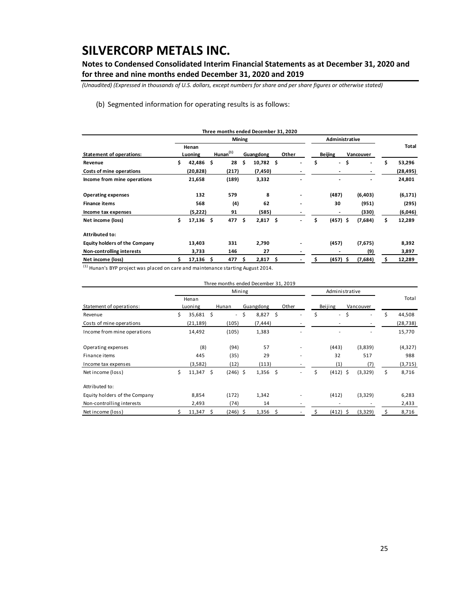**Notes to Condensed Consolidated Interim Financial Statements as at December 31, 2020 and for three and nine months ended December 31, 2020 and 2019**

*(Unaudited) (Expressed in thousands of U.S. dollars, except numbers for share and per share figures or otherwise stated)*

(b) Segmented information for operating results is as follows:

|                                      |                  |               |                       |       |           | Three months ended December 31, 2020 |       |  |                          |                |                          |    |                          |       |           |
|--------------------------------------|------------------|---------------|-----------------------|-------|-----------|--------------------------------------|-------|--|--------------------------|----------------|--------------------------|----|--------------------------|-------|-----------|
|                                      |                  | <b>Mining</b> |                       |       |           |                                      |       |  |                          | Administrative |                          |    |                          |       |           |
| <b>Statement of operations:</b>      | Henan<br>Luoning |               | Hunnan <sup>(1)</sup> |       | Guangdong |                                      | Other |  | <b>Beijing</b>           |                | Vancouver                |    |                          | Total |           |
| Revenue                              | \$               | 42,486 \$     |                       | 28    | \$.       | 10,782 \$                            |       |  | $\blacksquare$           | \$             | $\overline{\phantom{a}}$ | \$ | $\overline{\phantom{a}}$ | Ś     | 53,296    |
| Costs of mine operations             |                  | (20,828)      |                       | (217) |           | (7, 450)                             |       |  |                          |                |                          |    |                          |       | (28, 495) |
| Income from mine operations          |                  | 21,658        |                       | (189) |           | 3,332                                |       |  |                          |                |                          |    |                          |       | 24,801    |
| <b>Operating expenses</b>            |                  | 132           |                       | 579   |           | 8                                    |       |  |                          |                | (487)                    |    | (6,403)                  |       | (6, 171)  |
| <b>Finance items</b>                 |                  | 568           |                       | (4)   |           | 62                                   |       |  |                          |                | 30                       |    | (951)                    |       | (295)     |
| Income tax expenses                  |                  | (5,222)       |                       | 91    |           | (585)                                |       |  | $\overline{\phantom{a}}$ |                |                          |    | (330)                    |       | (6,046)   |
| Net income (loss)                    | \$               | $17,136$ \$   |                       | 477   | - Ś       | $2,817$ \$                           |       |  |                          | Ś.             | $(457)$ \$               |    | (7,684)                  | \$    | 12,289    |
| <b>Attributed to:</b>                |                  |               |                       |       |           |                                      |       |  |                          |                |                          |    |                          |       |           |
| <b>Equity holders of the Company</b> |                  | 13,403        |                       | 331   |           | 2,790                                |       |  |                          |                | (457)                    |    | (7,675)                  |       | 8,392     |
| Non-controlling interests            |                  | 3,733         |                       | 146   |           | 27                                   |       |  | $\overline{\phantom{a}}$ |                |                          |    | (9)                      |       | 3,897     |
| Net income (loss)                    |                  | 17,136        | Ŝ.                    | 477   | \$.       | 2,817                                | \$    |  |                          |                | $(457)$ \$               |    | (7,684)                  |       | 12,289    |

 $\frac{1}{1}$  Hunan's BYP project was placed on care and maintenance starting August 2014.

|                               |    |           |     | Three months ended December 31, 2019 |    |            |      |       |                          |                |             |                          |    |          |
|-------------------------------|----|-----------|-----|--------------------------------------|----|------------|------|-------|--------------------------|----------------|-------------|--------------------------|----|----------|
|                               |    | Mining    |     |                                      |    |            |      |       |                          | Administrative |             |                          |    |          |
|                               |    | Henan     |     |                                      |    |            |      |       |                          |                |             |                          |    | Total    |
| Statement of operations:      |    | Luoning   |     | Hunan                                |    | Guangdong  |      | Other |                          |                | Beijing     | Vancouver                |    |          |
| Revenue                       | Ś  | 35,681 \$ |     | $\sim$                               | \$ | 8,827      | - \$ |       | $\overline{\phantom{a}}$ | Ś              | Ś<br>$\sim$ | ٠                        | Ś  | 44,508   |
| Costs of mine operations      |    | (21, 189) |     | (105)                                |    | (7, 444)   |      |       |                          |                |             | $\overline{\phantom{a}}$ |    | (28,738) |
| Income from mine operations   |    | 14,492    |     | (105)                                |    | 1,383      |      |       |                          |                |             |                          |    | 15,770   |
| Operating expenses            |    | (8)       |     | (94)                                 |    | 57         |      |       |                          |                | (443)       | (3,839)                  |    | (4, 327) |
| Finance items                 |    | 445       |     | (35)                                 |    | 29         |      |       |                          |                | 32          | 517                      |    | 988      |
| Income tax expenses           |    | (3,582)   |     | (12)                                 |    | (113)      |      |       |                          |                | (1)         | (7)                      |    | (3, 715) |
| Net income (loss)             | \$ | 11,347    | \$. | $(246)$ \$                           |    | $1,356$ \$ |      |       |                          | \$             | $(412)$ \$  | (3,329)                  | \$ | 8,716    |
| Attributed to:                |    |           |     |                                      |    |            |      |       |                          |                |             |                          |    |          |
| Equity holders of the Company |    | 8,854     |     | (172)                                |    | 1,342      |      |       |                          |                | (412)       | (3,329)                  |    | 6,283    |
| Non-controlling interests     |    | 2,493     |     | (74)                                 |    | 14         |      |       |                          |                |             |                          |    | 2,433    |
| Net income (loss)             |    | 11,347    | \$  | $(246)$ \$                           |    | $1,356$ \$ |      |       |                          |                | $(412)$ \$  | (3,329)                  | Ś  | 8,716    |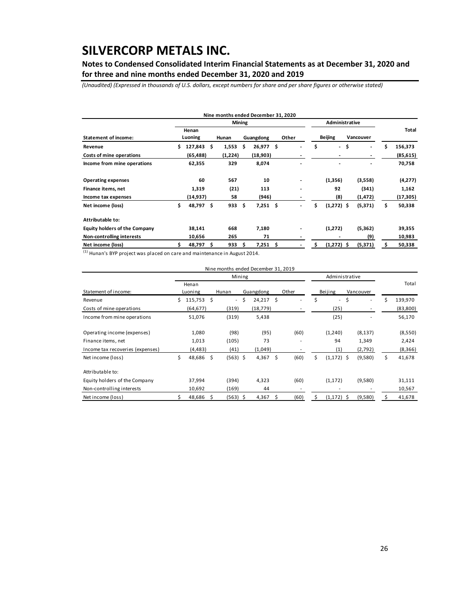**Notes to Condensed Consolidated Interim Financial Statements as at December 31, 2020 and for three and nine months ended December 31, 2020 and 2019**

*(Unaudited) (Expressed in thousands of U.S. dollars, except numbers for share and per share figures or otherwise stated)*

|                                      |    |               |    | Nine months ended December 31, 2020 |     |             |  |       |    |                          |                                |    |           |
|--------------------------------------|----|---------------|----|-------------------------------------|-----|-------------|--|-------|----|--------------------------|--------------------------------|----|-----------|
|                                      |    | <b>Mining</b> |    |                                     |     |             |  |       |    | Administrative           |                                |    |           |
|                                      |    | Henan         |    |                                     |     |             |  |       |    |                          |                                |    | Total     |
| <b>Statement of income:</b>          |    | Luoning       |    | Hunan                               |     | Guangdong   |  | Other |    | <b>Beijing</b>           | Vancouver                      |    |           |
| Revenue                              | Ś. | 127,843       | Ŝ. | 1,553                               | Ś.  | $26,977$ \$ |  |       | \$ | $\overline{\phantom{0}}$ | \$<br>$\overline{\phantom{a}}$ | Ś  | 156,373   |
| Costs of mine operations             |    | (65, 488)     |    | (1,224)                             |     | (18,903)    |  |       |    |                          |                                |    | (85, 615) |
| Income from mine operations          |    | 62,355        |    | 329                                 |     | 8,074       |  |       |    |                          | $\overline{\phantom{0}}$       |    | 70,758    |
| <b>Operating expenses</b>            |    | 60            |    | 567                                 |     | 10          |  |       |    | (1,356)                  | (3,558)                        |    | (4,277)   |
| Finance items, net                   |    | 1,319         |    | (21)                                |     | 113         |  |       |    | 92                       | (341)                          |    | 1,162     |
| Income tax expenses                  |    | (14, 937)     |    | 58                                  |     | (946)       |  |       |    | (8)                      | (1, 472)                       |    | (17, 305) |
| Net income (loss)                    | \$ | 48,797 \$     |    | 933                                 | \$. | $7,251$ \$  |  |       | \$ | $(1,272)$ \$             | (5,371)                        | \$ | 50,338    |
| Attributable to:                     |    |               |    |                                     |     |             |  |       |    |                          |                                |    |           |
| <b>Equity holders of the Company</b> |    | 38,141        |    | 668                                 |     | 7,180       |  |       |    | (1,272)                  | (5,362)                        |    | 39,355    |
| Non-controlling interests            |    | 10,656        |    | 265                                 |     | 71          |  |       |    |                          | (9)                            |    | 10,983    |
| Net income (loss)                    |    | 48,797 \$     |    | 933                                 | s   | 7,251 \$    |  |       | Ś  | $(1,272)$ \$             | (5, 371)                       | s  | 50,338    |

 $(1)$  Hunan's BYP project was placed on care and maintenance in August 2014.

|                                  |    |              |   | Nine months ended December 31, 2019 |    |           |    |       |   |              |                |                          |    |           |
|----------------------------------|----|--------------|---|-------------------------------------|----|-----------|----|-------|---|--------------|----------------|--------------------------|----|-----------|
|                                  |    | Mining       |   |                                     |    |           |    |       |   |              | Administrative |                          |    |           |
|                                  |    | Henan        |   |                                     |    |           |    |       |   |              |                |                          |    | Total     |
| Statement of income:             |    | Luoning      |   | Hunan                               |    | Guangdong |    | Other |   | Beijing      |                | Vancouver                |    |           |
| Revenue                          | Ś. | $115,753$ \$ |   | $\sim$                              | \$ | 24,217 \$ |    |       | Ś | $\sim$       | \$             | ٠                        | ς. | 139,970   |
| Costs of mine operations         |    | (64, 677)    |   | (319)                               |    | (18, 779) |    |       |   | (25)         |                | $\overline{\phantom{a}}$ |    | (83, 800) |
| Income from mine operations      |    | 51,076       |   | (319)                               |    | 5,438     |    |       |   | (25)         |                |                          |    | 56,170    |
| Operating income (expenses)      |    | 1,080        |   | (98)                                |    | (95)      |    | (60)  |   | (1,240)      |                | (8, 137)                 |    | (8,550)   |
| Finance items, net               |    | 1,013        |   | (105)                               |    | 73        |    |       |   | 94           |                | 1,349                    |    | 2,424     |
| Income tax recoveries (expenses) |    | (4, 483)     |   | (41)                                |    | (1,049)   |    |       |   | (1)          |                | (2,792)                  |    | (8,366)   |
| Net income (loss)                | \$ | 48,686 \$    |   | $(563)$ \$                          |    | 4,367     | \$ | (60)  | Ś | $(1,172)$ \$ |                | (9,580)                  | \$ | 41,678    |
| Attributable to:                 |    |              |   |                                     |    |           |    |       |   |              |                |                          |    |           |
| Equity holders of the Company    |    | 37,994       |   | (394)                               |    | 4,323     |    | (60)  |   | (1, 172)     |                | (9,580)                  |    | 31,111    |
| Non-controlling interests        |    | 10,692       |   | (169)                               |    | 44        |    |       |   |              |                |                          |    | 10,567    |
| Net income (loss)                |    | 48,686       | S | $(563)$ \$                          |    | 4,367     |    | (60)  | Ś | $(1,172)$ \$ |                | (9,580)                  |    | 41,678    |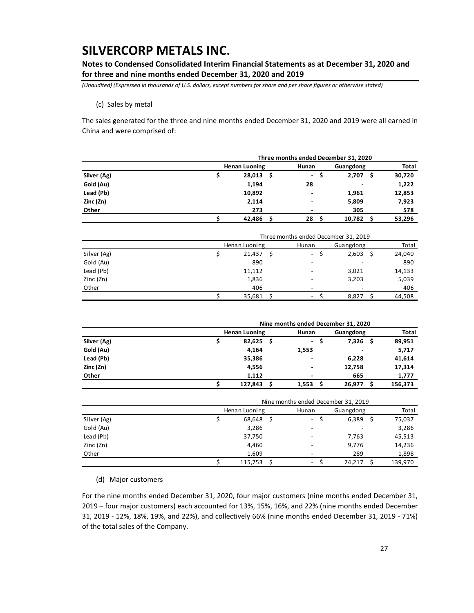**Notes to Condensed Consolidated Interim Financial Statements as at December 31, 2020 and for three and nine months ended December 31, 2020 and 2019**

*(Unaudited) (Expressed in thousands of U.S. dollars, except numbers for share and per share figures or otherwise stated)*

(c) Sales by metal

The sales generated for the three and nine months ended December 31, 2020 and 2019 were all earned in China and were comprised of:

|             | Three months ended December 31, 2020 |                      |                     |           |        |  |  |  |  |  |  |
|-------------|--------------------------------------|----------------------|---------------------|-----------|--------|--|--|--|--|--|--|
|             |                                      | <b>Henan Luoning</b> | Hunan               | Guangdong | Total  |  |  |  |  |  |  |
| Silver (Ag) |                                      | $28,013$ \$          | $\blacksquare$<br>S | 2,707     | 30,720 |  |  |  |  |  |  |
| Gold (Au)   |                                      | 1,194                | 28                  | ۰         | 1,222  |  |  |  |  |  |  |
| Lead (Pb)   |                                      | 10,892               |                     | 1,961     | 12,853 |  |  |  |  |  |  |
| Zinc (Zn)   |                                      | 2,114                | -                   | 5,809     | 7,923  |  |  |  |  |  |  |
| Other       |                                      | 273                  |                     | 305       | 578    |  |  |  |  |  |  |
|             |                                      | 42,486               | 28                  | 10,782    | 53,296 |  |  |  |  |  |  |

|             | Three months ended December 31, 2019 |               |                          |           |        |  |  |  |  |  |  |
|-------------|--------------------------------------|---------------|--------------------------|-----------|--------|--|--|--|--|--|--|
|             |                                      | Henan Luoning | Hunan                    | Guangdong | Total  |  |  |  |  |  |  |
| Silver (Ag) |                                      | 21,437        | $\sim$                   | 2,603     | 24,040 |  |  |  |  |  |  |
| Gold (Au)   |                                      | 890           | $\overline{\phantom{0}}$ | ۰         | 890    |  |  |  |  |  |  |
| Lead (Pb)   |                                      | 11,112        |                          | 3,021     | 14,133 |  |  |  |  |  |  |
| Zinc (Zn)   |                                      | 1,836         | -                        | 3,203     | 5,039  |  |  |  |  |  |  |
| Other       |                                      | 406           | $\overline{\phantom{a}}$ | ۰         | 406    |  |  |  |  |  |  |
|             |                                      | 35,681        | $\overline{\phantom{0}}$ | 8,827     | 44,508 |  |  |  |  |  |  |

|             |                      | Nine months ended December 31, 2020 |                |              |  |  |  |  |  |  |
|-------------|----------------------|-------------------------------------|----------------|--------------|--|--|--|--|--|--|
|             | <b>Henan Luoning</b> | Hunan                               | Guangdong      | <b>Total</b> |  |  |  |  |  |  |
| Silver (Ag) | $82,625$ \$          | $\sim$<br>S                         | 7,326<br>- \$  | 89,951       |  |  |  |  |  |  |
| Gold (Au)   | 4,164                | 1,553                               | $\blacksquare$ | 5,717        |  |  |  |  |  |  |
| Lead (Pb)   | 35,386               | -                                   | 6,228          | 41,614       |  |  |  |  |  |  |
| Zinc (Zn)   | 4,556                | $\blacksquare$                      | 12,758         | 17,314       |  |  |  |  |  |  |
| Other       | 1,112                |                                     | 665            | 1,777        |  |  |  |  |  |  |
|             | 127.843              | 1,553                               | 26,977         | 156,373      |  |  |  |  |  |  |

|             | Nine months ended December 31, 2019 |               |                          |           |         |  |  |  |  |  |
|-------------|-------------------------------------|---------------|--------------------------|-----------|---------|--|--|--|--|--|
|             |                                     | Henan Luoning | Hunan                    | Guangdong | Total   |  |  |  |  |  |
| Silver (Ag) |                                     | 68,648 \$     | $\overline{\phantom{0}}$ | 6,389     | 75,037  |  |  |  |  |  |
| Gold (Au)   |                                     | 3,286         |                          | -         | 3,286   |  |  |  |  |  |
| Lead (Pb)   |                                     | 37,750        |                          | 7,763     | 45,513  |  |  |  |  |  |
| Zinc (Zn)   |                                     | 4,460         |                          | 9,776     | 14,236  |  |  |  |  |  |
| Other       |                                     | 1,609         |                          | 289       | 1,898   |  |  |  |  |  |
|             |                                     | 115,753       | $\overline{\phantom{a}}$ | 24.217    | 139.970 |  |  |  |  |  |

(d) Major customers

For the nine months ended December 31, 2020, four major customers (nine months ended December 31, 2019 – four major customers) each accounted for 13%, 15%, 16%, and 22% (nine months ended December 31, 2019 - 12%, 18%, 19%, and 22%), and collectively 66% (nine months ended December 31, 2019 - 71%) of the total sales of the Company.